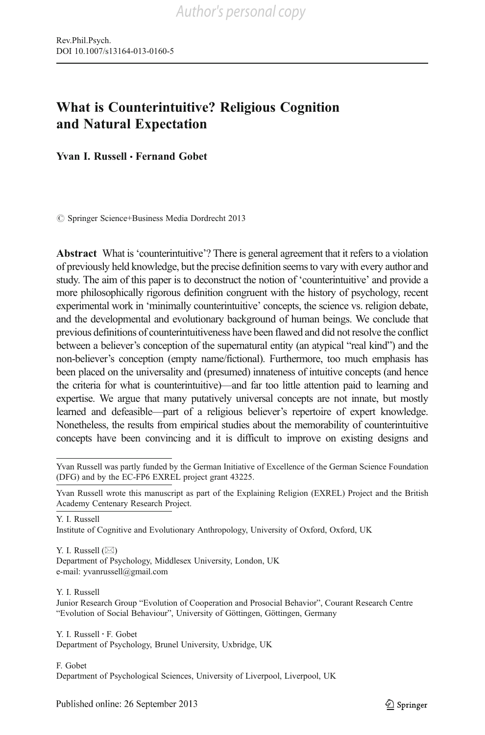# What is Counterintuitive? Religious Cognition and Natural Expectation

Yvan I. Russell • Fernand Gobet

 $\oslash$  Springer Science+Business Media Dordrecht 2013

Abstract What is'counterintuitive'? There is general agreement that it refers to a violation of previously held knowledge, but the precise definition seems to vary with every author and study. The aim of this paper is to deconstruct the notion of 'counterintuitive' and provide a more philosophically rigorous definition congruent with the history of psychology, recent experimental work in 'minimally counterintuitive' concepts, the science vs. religion debate, and the developmental and evolutionary background of human beings. We conclude that previous definitions of counterintuitiveness have been flawed and did not resolve the conflict between a believer's conception of the supernatural entity (an atypical "real kind") and the non-believer's conception (empty name/fictional). Furthermore, too much emphasis has been placed on the universality and (presumed) innateness of intuitive concepts (and hence the criteria for what is counterintuitive)—and far too little attention paid to learning and expertise. We argue that many putatively universal concepts are not innate, but mostly learned and defeasible—part of a religious believer's repertoire of expert knowledge. Nonetheless, the results from empirical studies about the memorability of counterintuitive concepts have been convincing and it is difficult to improve on existing designs and

Y. I. Russell

Y. I. Russell  $(\boxtimes)$ Department of Psychology, Middlesex University, London, UK e-mail: yvanrussell@gmail.com

Y. I. Russell Junior Research Group "Evolution of Cooperation and Prosocial Behavior", Courant Research Centre "Evolution of Social Behaviour", University of Göttingen, Göttingen, Germany

Y. I. Russell : F. Gobet Department of Psychology, Brunel University, Uxbridge, UK

F. Gobet Department of Psychological Sciences, University of Liverpool, Liverpool, UK

Yvan Russell was partly funded by the German Initiative of Excellence of the German Science Foundation (DFG) and by the EC-FP6 EXREL project grant 43225.

Yvan Russell wrote this manuscript as part of the Explaining Religion (EXREL) Project and the British Academy Centenary Research Project.

Institute of Cognitive and Evolutionary Anthropology, University of Oxford, Oxford, UK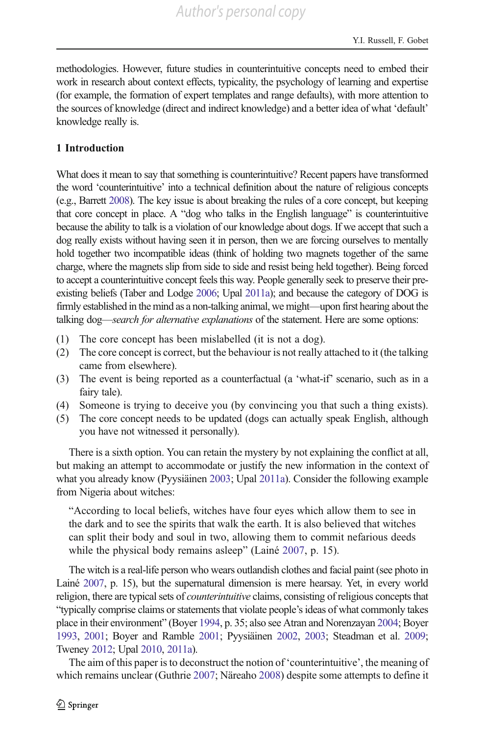methodologies. However, future studies in counterintuitive concepts need to embed their work in research about context effects, typicality, the psychology of learning and expertise (for example, the formation of expert templates and range defaults), with more attention to the sources of knowledge (direct and indirect knowledge) and a better idea of what 'default' knowledge really is.

### 1 Introduction

What does it mean to say that something is counterintuitive? Recent papers have transformed the word 'counterintuitive' into a technical definition about the nature of religious concepts (e.g., Barrett [2008](#page-29-0)). The key issue is about breaking the rules of a core concept, but keeping that core concept in place. A "dog who talks in the English language" is counterintuitive because the ability to talk is a violation of our knowledge about dogs. If we accept that such a dog really exists without having seen it in person, then we are forcing ourselves to mentally hold together two incompatible ideas (think of holding two magnets together of the same charge, where the magnets slip from side to side and resist being held together). Being forced to accept a counterintuitive concept feels this way. People generally seek to preserve their preexisting beliefs (Taber and Lodge [2006](#page-33-0); Upal [2011a](#page-33-0)); and because the category of DOG is firmly established in the mind as a non-talking animal, we might—upon first hearing about the talking dog-search for alternative explanations of the statement. Here are some options:

- (1) The core concept has been mislabelled (it is not a dog).
- (2) The core concept is correct, but the behaviour is not really attached to it (the talking came from elsewhere).
- (3) The event is being reported as a counterfactual (a 'what-if' scenario, such as in a fairy tale).
- (4) Someone is trying to deceive you (by convincing you that such a thing exists).
- (5) The core concept needs to be updated (dogs can actually speak English, although you have not witnessed it personally).

There is a sixth option. You can retain the mystery by not explaining the conflict at all, but making an attempt to accommodate or justify the new information in the context of what you already know (Pyysiäinen [2003](#page-32-0); Upal [2011a](#page-33-0)). Consider the following example from Nigeria about witches:

"According to local beliefs, witches have four eyes which allow them to see in the dark and to see the spirits that walk the earth. It is also believed that witches can split their body and soul in two, allowing them to commit nefarious deeds while the physical body remains asleep" (Lainé [2007](#page-31-0), p. 15).

The witch is a real-life person who wears outlandish clothes and facial paint (see photo in Lainé [2007](#page-31-0), p. 15), but the supernatural dimension is mere hearsay. Yet, in every world religion, there are typical sets of *counterintuitive* claims, consisting of religious concepts that "typically comprise claims or statements that violate people's ideas of what commonly takes place in their environment" (Boyer [1994](#page-29-0), p. 35; also see Atran and Norenzayan [2004;](#page-28-0) Boyer [1993,](#page-29-0) [2001](#page-29-0); Boyer and Ramble [2001](#page-29-0); Pyysiäinen [2002,](#page-32-0) [2003](#page-32-0); Steadman et al. [2009;](#page-33-0) Tweney [2012;](#page-33-0) Upal [2010,](#page-33-0) [2011a\)](#page-33-0).

The aim of this paper is to deconstruct the notion of 'counterintuitive', the meaning of which remains unclear (Guthrie [2007;](#page-30-0) Näreaho [2008](#page-32-0)) despite some attempts to define it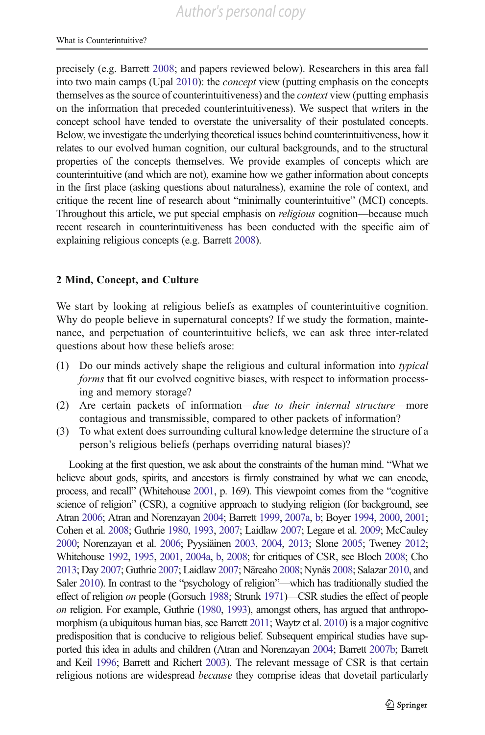precisely (e.g. Barrett [2008](#page-29-0); and papers reviewed below). Researchers in this area fall into two main camps (Upal [2010](#page-33-0)): the concept view (putting emphasis on the concepts themselves as the source of counterintuitiveness) and the context view (putting emphasis on the information that preceded counterintuitiveness). We suspect that writers in the concept school have tended to overstate the universality of their postulated concepts. Below, we investigate the underlying theoretical issues behind counterintuitiveness, how it relates to our evolved human cognition, our cultural backgrounds, and to the structural properties of the concepts themselves. We provide examples of concepts which are counterintuitive (and which are not), examine how we gather information about concepts in the first place (asking questions about naturalness), examine the role of context, and critique the recent line of research about "minimally counterintuitive" (MCI) concepts. Throughout this article, we put special emphasis on religious cognition—because much recent research in counterintuitiveness has been conducted with the specific aim of explaining religious concepts (e.g. Barrett [2008\)](#page-29-0).

## 2 Mind, Concept, and Culture

We start by looking at religious beliefs as examples of counterintuitive cognition. Why do people believe in supernatural concepts? If we study the formation, maintenance, and perpetuation of counterintuitive beliefs, we can ask three inter-related questions about how these beliefs arose:

- (1) Do our minds actively shape the religious and cultural information into typical forms that fit our evolved cognitive biases, with respect to information processing and memory storage?
- (2) Are certain packets of information—due to their internal structure—more contagious and transmissible, compared to other packets of information?
- (3) To what extent does surrounding cultural knowledge determine the structure of a person's religious beliefs (perhaps overriding natural biases)?

Looking at the first question, we ask about the constraints of the human mind. "What we believe about gods, spirits, and ancestors is firmly constrained by what we can encode, process, and recall" (Whitehouse [2001,](#page-34-0) p. 169). This viewpoint comes from the "cognitive science of religion" (CSR), a cognitive approach to studying religion (for background, see Atran [2006;](#page-28-0) Atran and Norenzayan [2004;](#page-28-0) Barrett [1999](#page-29-0), [2007a,](#page-29-0) [b](#page-29-0); Boyer [1994,](#page-29-0) [2000](#page-29-0), [2001;](#page-29-0) Cohen et al. [2008;](#page-30-0) Guthrie [1980](#page-30-0), [1993,](#page-30-0) [2007](#page-30-0); Laidlaw [2007](#page-31-0); Legare et al. [2009;](#page-31-0) McCauley [2000](#page-31-0); Norenzayan et al. [2006;](#page-32-0) Pyysiäinen [2003](#page-32-0), [2004,](#page-32-0) [2013;](#page-32-0) Slone [2005;](#page-33-0) Tweney [2012;](#page-33-0) Whitehouse [1992,](#page-34-0) [1995,](#page-34-0) [2001](#page-34-0), [2004a,](#page-34-0) [b](#page-34-0), [2008;](#page-34-0) for critiques of CSR, see Bloch [2008](#page-29-0); Cho [2013](#page-29-0); Day [2007;](#page-30-0) Guthrie [2007;](#page-30-0) Laidlaw [2007](#page-31-0); Näreaho [2008;](#page-32-0) Nynäs [2008;](#page-32-0) Salazar [2010,](#page-33-0) and Saler [2010](#page-33-0)). In contrast to the "psychology of religion"—which has traditionally studied the effect of religion on people (Gorsuch [1988](#page-30-0); Strunk [1971](#page-33-0))—CSR studies the effect of people on religion. For example, Guthrie [\(1980](#page-30-0), [1993](#page-30-0)), amongst others, has argued that anthropomorphism (a ubiquitous human bias, see Barrett [2011](#page-29-0); Waytz et al. [2010\)](#page-34-0) is a major cognitive predisposition that is conducive to religious belief. Subsequent empirical studies have supported this idea in adults and children (Atran and Norenzayan [2004;](#page-28-0) Barrett [2007b](#page-29-0); Barrett and Keil [1996](#page-29-0); Barrett and Richert [2003\)](#page-29-0). The relevant message of CSR is that certain religious notions are widespread *because* they comprise ideas that dovetail particularly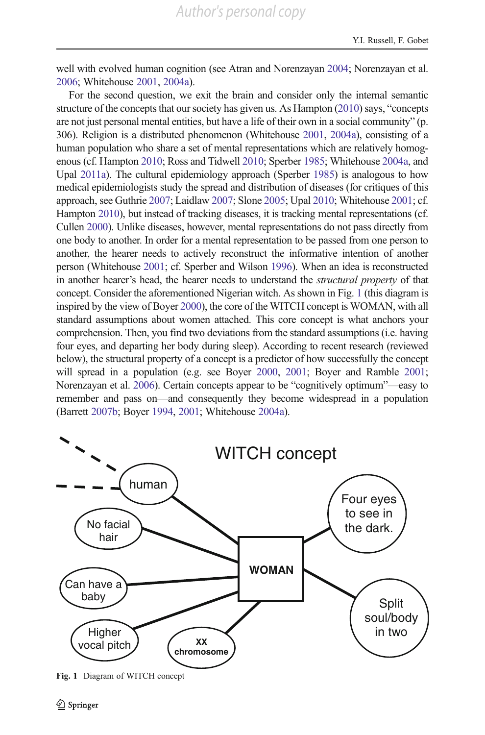<span id="page-3-0"></span>well with evolved human cognition (see Atran and Norenzayan [2004;](#page-28-0) Norenzayan et al. [2006](#page-32-0); Whitehouse [2001,](#page-34-0) [2004a](#page-34-0)).

For the second question, we exit the brain and consider only the internal semantic structure of the concepts that our society has given us. As Hampton [\(2010](#page-31-0)) says, "concepts are not just personal mental entities, but have a life of their own in a social community" (p. 306). Religion is a distributed phenomenon (Whitehouse [2001,](#page-34-0) [2004a\)](#page-34-0), consisting of a human population who share a set of mental representations which are relatively homogenous (cf. Hampton [2010](#page-31-0); Ross and Tidwell [2010;](#page-32-0) Sperber [1985](#page-33-0); Whitehouse [2004a,](#page-34-0) and Upal [2011a\)](#page-33-0). The cultural epidemiology approach (Sperber [1985](#page-33-0)) is analogous to how medical epidemiologists study the spread and distribution of diseases (for critiques of this approach, see Guthrie [2007](#page-30-0); Laidlaw [2007](#page-31-0); Slone [2005;](#page-33-0) Upal [2010;](#page-33-0) Whitehouse [2001](#page-34-0); cf. Hampton [2010](#page-31-0)), but instead of tracking diseases, it is tracking mental representations (cf. Cullen [2000\)](#page-30-0). Unlike diseases, however, mental representations do not pass directly from one body to another. In order for a mental representation to be passed from one person to another, the hearer needs to actively reconstruct the informative intention of another person (Whitehouse [2001](#page-34-0); cf. Sperber and Wilson [1996\)](#page-33-0). When an idea is reconstructed in another hearer's head, the hearer needs to understand the structural property of that concept. Consider the aforementioned Nigerian witch. As shown in Fig. 1 (this diagram is inspired by the view of Boyer [2000\)](#page-29-0), the core of the WITCH concept is WOMAN, with all standard assumptions about women attached. This core concept is what anchors your comprehension. Then, you find two deviations from the standard assumptions (i.e. having four eyes, and departing her body during sleep). According to recent research (reviewed below), the structural property of a concept is a predictor of how successfully the concept will spread in a population (e.g. see Boyer [2000,](#page-29-0) [2001](#page-29-0); Boyer and Ramble [2001;](#page-29-0) Norenzayan et al. [2006\)](#page-32-0). Certain concepts appear to be "cognitively optimum"—easy to remember and pass on—and consequently they become widespread in a population (Barrett [2007b;](#page-29-0) Boyer [1994,](#page-29-0) [2001;](#page-29-0) Whitehouse [2004a](#page-34-0)).



Fig. 1 Diagram of WITCH concept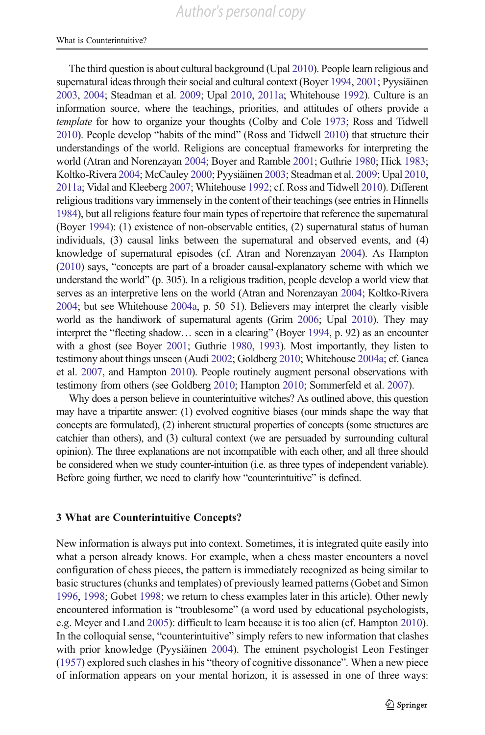The third question is about cultural background (Upal [2010\)](#page-33-0). People learn religious and supernatural ideas through their social and cultural context (Boyer [1994,](#page-29-0) [2001](#page-29-0); Pyysiäinen [2003](#page-32-0), [2004;](#page-32-0) Steadman et al. [2009](#page-33-0); Upal [2010](#page-33-0), [2011a;](#page-33-0) Whitehouse [1992](#page-34-0)). Culture is an information source, where the teachings, priorities, and attitudes of others provide a template for how to organize your thoughts (Colby and Cole [1973;](#page-30-0) Ross and Tidwell [2010](#page-32-0)). People develop "habits of the mind" (Ross and Tidwell [2010\)](#page-32-0) that structure their understandings of the world. Religions are conceptual frameworks for interpreting the world (Atran and Norenzayan [2004;](#page-28-0) Boyer and Ramble [2001;](#page-29-0) Guthrie [1980](#page-30-0); Hick [1983;](#page-31-0) Koltko-Rivera [2004;](#page-31-0) McCauley [2000](#page-31-0); Pyysiäinen [2003](#page-32-0); Steadman et al. [2009;](#page-33-0) Upal [2010,](#page-33-0) [2011a](#page-33-0); Vidal and Kleeberg [2007;](#page-33-0) Whitehouse [1992;](#page-34-0) cf. Ross and Tidwell [2010\)](#page-32-0). Different religious traditions vary immensely in the content of their teachings (see entries in Hinnells [1984](#page-31-0)), but all religions feature four main types of repertoire that reference the supernatural (Boyer [1994](#page-29-0)): (1) existence of non-observable entities, (2) supernatural status of human individuals, (3) causal links between the supernatural and observed events, and (4) knowledge of supernatural episodes (cf. Atran and Norenzayan [2004\)](#page-28-0). As Hampton [\(2010](#page-31-0)) says, "concepts are part of a broader causal-explanatory scheme with which we understand the world" (p. 305). In a religious tradition, people develop a world view that serves as an interpretive lens on the world (Atran and Norenzayan [2004](#page-28-0); Koltko-Rivera [2004](#page-31-0); but see Whitehouse [2004a](#page-34-0), p. 50–51). Believers may interpret the clearly visible world as the handiwork of supernatural agents (Grim [2006;](#page-30-0) Upal [2010\)](#page-33-0). They may interpret the "fleeting shadow… seen in a clearing" (Boyer [1994](#page-29-0), p. 92) as an encounter with a ghost (see Boyer [2001;](#page-29-0) Guthrie [1980](#page-30-0), [1993\)](#page-30-0). Most importantly, they listen to testimony about things unseen (Audi [2002;](#page-28-0) Goldberg [2010](#page-30-0); Whitehouse [2004a;](#page-34-0) cf. Ganea et al. [2007,](#page-30-0) and Hampton [2010\)](#page-31-0). People routinely augment personal observations with testimony from others (see Goldberg [2010;](#page-30-0) Hampton [2010](#page-31-0); Sommerfeld et al. [2007](#page-33-0)).

Why does a person believe in counterintuitive witches? As outlined above, this question may have a tripartite answer: (1) evolved cognitive biases (our minds shape the way that concepts are formulated), (2) inherent structural properties of concepts (some structures are catchier than others), and (3) cultural context (we are persuaded by surrounding cultural opinion). The three explanations are not incompatible with each other, and all three should be considered when we study counter-intuition (i.e. as three types of independent variable). Before going further, we need to clarify how "counterintuitive" is defined.

## 3 What are Counterintuitive Concepts?

New information is always put into context. Sometimes, it is integrated quite easily into what a person already knows. For example, when a chess master encounters a novel configuration of chess pieces, the pattern is immediately recognized as being similar to basic structures (chunks and templates) of previously learned patterns (Gobet and Simon [1996,](#page-30-0) [1998](#page-30-0); Gobet [1998;](#page-30-0) we return to chess examples later in this article). Other newly encountered information is "troublesome" (a word used by educational psychologists, e.g. Meyer and Land [2005\)](#page-32-0): difficult to learn because it is too alien (cf. Hampton [2010\)](#page-31-0). In the colloquial sense, "counterintuitive" simply refers to new information that clashes with prior knowledge (Pyysiäinen [2004](#page-32-0)). The eminent psychologist Leon Festinger [\(1957\)](#page-30-0) explored such clashes in his "theory of cognitive dissonance". When a new piece of information appears on your mental horizon, it is assessed in one of three ways: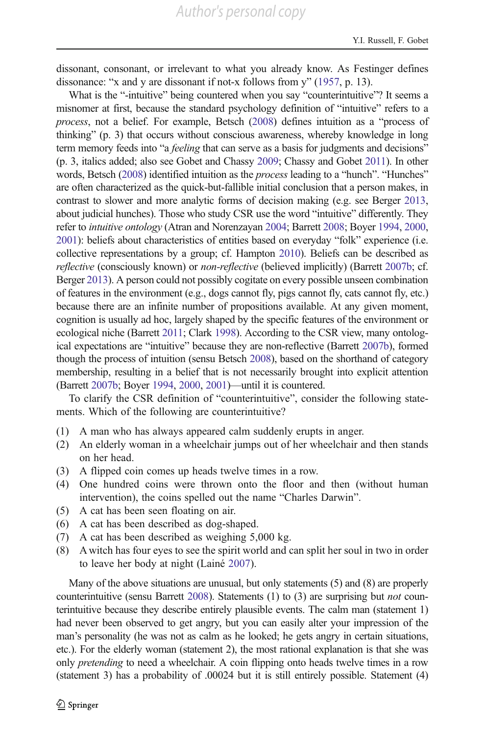dissonant, consonant, or irrelevant to what you already know. As Festinger defines dissonance: "x and y are dissonant if not-x follows from y" [\(1957,](#page-30-0) p. 13).

What is the "-intuitive" being countered when you say "counterintuitive"? It seems a misnomer at first, because the standard psychology definition of "intuitive" refers to a process, not a belief. For example, Betsch ([2008\)](#page-29-0) defines intuition as a "process of thinking" (p. 3) that occurs without conscious awareness, whereby knowledge in long term memory feeds into "a *feeling* that can serve as a basis for judgments and decisions" (p. 3, italics added; also see Gobet and Chassy [2009](#page-30-0); Chassy and Gobet [2011\)](#page-29-0). In other words, Betsch [\(2008\)](#page-29-0) identified intuition as the *process* leading to a "hunch". "Hunches" are often characterized as the quick-but-fallible initial conclusion that a person makes, in contrast to slower and more analytic forms of decision making (e.g. see Berger [2013,](#page-29-0) about judicial hunches). Those who study CSR use the word "intuitive" differently. They refer to intuitive ontology (Atran and Norenzayan [2004;](#page-28-0) Barrett [2008](#page-29-0); Boyer [1994,](#page-29-0) [2000,](#page-29-0) [2001](#page-29-0)): beliefs about characteristics of entities based on everyday "folk" experience (i.e. collective representations by a group; cf. Hampton [2010](#page-31-0)). Beliefs can be described as reflective (consciously known) or non-reflective (believed implicitly) (Barrett [2007b](#page-29-0); cf. Berger [2013\)](#page-29-0). A person could not possibly cogitate on every possible unseen combination of features in the environment (e.g., dogs cannot fly, pigs cannot fly, cats cannot fly, etc.) because there are an infinite number of propositions available. At any given moment, cognition is usually ad hoc, largely shaped by the specific features of the environment or ecological niche (Barrett [2011;](#page-29-0) Clark [1998\)](#page-29-0). According to the CSR view, many ontological expectations are "intuitive" because they are non-reflective (Barrett [2007b](#page-29-0)), formed though the process of intuition (sensu Betsch [2008\)](#page-29-0), based on the shorthand of category membership, resulting in a belief that is not necessarily brought into explicit attention (Barrett [2007b;](#page-29-0) Boyer [1994](#page-29-0), [2000,](#page-29-0) [2001\)](#page-29-0)—until it is countered.

To clarify the CSR definition of "counterintuitive", consider the following statements. Which of the following are counterintuitive?

- (1) A man who has always appeared calm suddenly erupts in anger.
- (2) An elderly woman in a wheelchair jumps out of her wheelchair and then stands on her head.
- (3) A flipped coin comes up heads twelve times in a row.
- (4) One hundred coins were thrown onto the floor and then (without human intervention), the coins spelled out the name "Charles Darwin".
- (5) A cat has been seen floating on air.
- (6) A cat has been described as dog-shaped.
- (7) A cat has been described as weighing 5,000 kg.
- (8) A witch has four eyes to see the spirit world and can split her soul in two in order to leave her body at night (Lainé [2007](#page-31-0)).

Many of the above situations are unusual, but only statements (5) and (8) are properly counterintuitive (sensu Barrett [2008](#page-29-0)). Statements (1) to (3) are surprising but *not* counterintuitive because they describe entirely plausible events. The calm man (statement 1) had never been observed to get angry, but you can easily alter your impression of the man's personality (he was not as calm as he looked; he gets angry in certain situations, etc.). For the elderly woman (statement 2), the most rational explanation is that she was only *pretending* to need a wheelchair. A coin flipping onto heads twelve times in a row (statement 3) has a probability of .00024 but it is still entirely possible. Statement (4)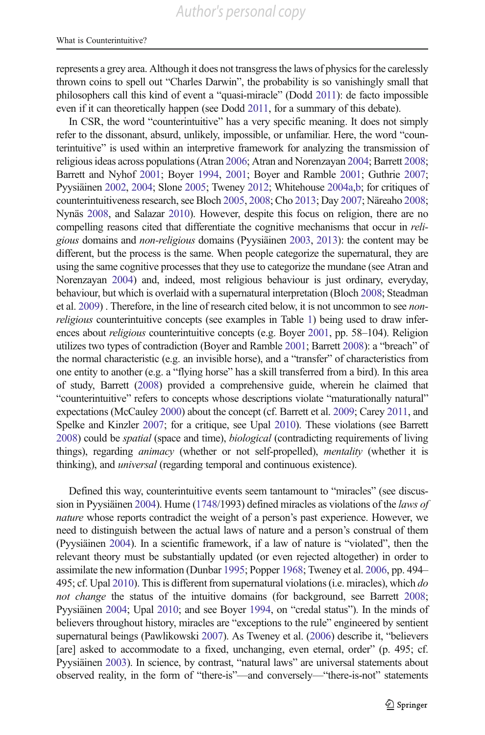represents a grey area. Although it does not transgress the laws of physics for the carelessly thrown coins to spell out "Charles Darwin", the probability is so vanishingly small that philosophers call this kind of event a "quasi-miracle" (Dodd [2011](#page-30-0)): de facto impossible even if it can theoretically happen (see Dodd [2011](#page-30-0), for a summary of this debate).

In CSR, the word "counterintuitive" has a very specific meaning. It does not simply refer to the dissonant, absurd, unlikely, impossible, or unfamiliar. Here, the word "counterintuitive" is used within an interpretive framework for analyzing the transmission of religious ideas across populations (Atran [2006;](#page-28-0) Atran and Norenzayan [2004](#page-28-0); Barrett [2008;](#page-29-0) Barrett and Nyhof [2001;](#page-29-0) Boyer [1994](#page-29-0), [2001;](#page-29-0) Boyer and Ramble [2001](#page-29-0); Guthrie [2007;](#page-30-0) Pyysiäinen [2002](#page-32-0), [2004](#page-32-0); Slone [2005;](#page-33-0) Tweney [2012;](#page-33-0) Whitehouse [2004a,b](#page-34-0); for critiques of counterintuitiveness research, see Bloch [2005,](#page-29-0) [2008](#page-29-0); Cho [2013;](#page-29-0) Day [2007](#page-30-0); Näreaho [2008;](#page-32-0) Nynäs [2008](#page-32-0), and Salazar [2010\)](#page-33-0). However, despite this focus on religion, there are no compelling reasons cited that differentiate the cognitive mechanisms that occur in *reli*gious domains and non-religious domains (Pyysiäinen [2003,](#page-32-0) [2013](#page-32-0)): the content may be different, but the process is the same. When people categorize the supernatural, they are using the same cognitive processes that they use to categorize the mundane (see Atran and Norenzayan [2004\)](#page-28-0) and, indeed, most religious behaviour is just ordinary, everyday, behaviour, but which is overlaid with a supernatural interpretation (Bloch [2008](#page-29-0); Steadman et al. [2009](#page-33-0)). Therefore, in the line of research cited below, it is not uncommon to see nonreligious counterintuitive concepts (see examples in Table [1](#page-7-0)) being used to draw inferences about religious counterintuitive concepts (e.g. Boyer [2001](#page-29-0), pp. 58–104). Religion utilizes two types of contradiction (Boyer and Ramble [2001;](#page-29-0) Barrett [2008\)](#page-29-0): a "breach" of the normal characteristic (e.g. an invisible horse), and a "transfer" of characteristics from one entity to another (e.g. a "flying horse" has a skill transferred from a bird). In this area of study, Barrett ([2008\)](#page-29-0) provided a comprehensive guide, wherein he claimed that "counterintuitive" refers to concepts whose descriptions violate "maturationally natural" expectations (McCauley [2000\)](#page-31-0) about the concept (cf. Barrett et al. [2009](#page-29-0); Carey [2011,](#page-29-0) and Spelke and Kinzler [2007;](#page-33-0) for a critique, see Upal [2010\)](#page-33-0). These violations (see Barrett [2008](#page-29-0)) could be spatial (space and time), biological (contradicting requirements of living things), regarding *animacy* (whether or not self-propelled), *mentality* (whether it is thinking), and universal (regarding temporal and continuous existence).

Defined this way, counterintuitive events seem tantamount to "miracles" (see discussion in Pyysiäinen [2004](#page-32-0)). Hume ([1748/](#page-31-0)1993) defined miracles as violations of the laws of nature whose reports contradict the weight of a person's past experience. However, we need to distinguish between the actual laws of nature and a person's construal of them (Pyysiäinen [2004](#page-32-0)). In a scientific framework, if a law of nature is "violated", then the relevant theory must be substantially updated (or even rejected altogether) in order to assimilate the new information (Dunbar [1995;](#page-30-0) Popper [1968;](#page-32-0) Tweney et al. [2006,](#page-33-0) pp. 494– 495; cf. Upal [2010](#page-33-0)). This is different from supernatural violations (i.e. miracles), which do not change the status of the intuitive domains (for background, see Barrett [2008;](#page-29-0) Pyysiäinen [2004](#page-32-0); Upal [2010;](#page-33-0) and see Boyer [1994](#page-29-0), on "credal status"). In the minds of believers throughout history, miracles are "exceptions to the rule" engineered by sentient supernatural beings (Pawlikowski [2007](#page-32-0)). As Tweney et al. ([2006](#page-33-0)) describe it, "believers [are] asked to accommodate to a fixed, unchanging, even eternal, order" (p. 495; cf. Pyysiäinen [2003\)](#page-32-0). In science, by contrast, "natural laws" are universal statements about observed reality, in the form of "there-is"—and conversely—"there-is-not" statements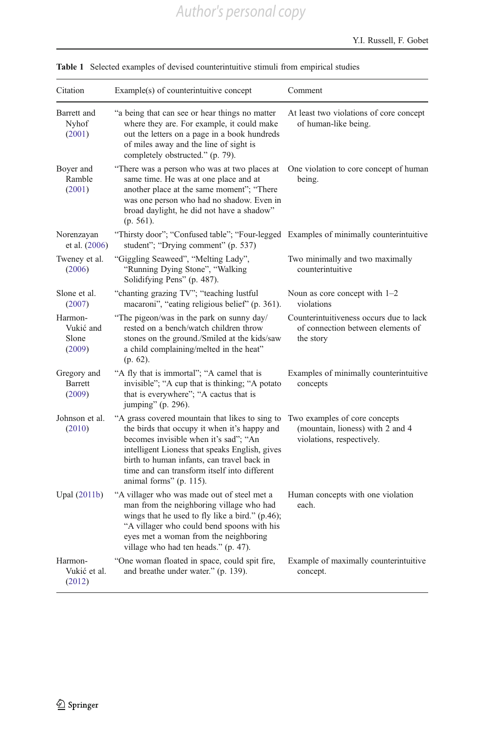| Citation                                | Example(s) of counterintuitive concept                                                                                                                                                                                                                                                                              | Comment                                                                                        |
|-----------------------------------------|---------------------------------------------------------------------------------------------------------------------------------------------------------------------------------------------------------------------------------------------------------------------------------------------------------------------|------------------------------------------------------------------------------------------------|
| Barrett and<br>Nyhof<br>(2001)          | "a being that can see or hear things no matter<br>where they are. For example, it could make<br>out the letters on a page in a book hundreds<br>of miles away and the line of sight is<br>completely obstructed." (p. 79).                                                                                          | At least two violations of core concept<br>of human-like being.                                |
| Boyer and<br>Ramble<br>(2001)           | "There was a person who was at two places at<br>same time. He was at one place and at<br>another place at the same moment"; "There<br>was one person who had no shadow. Even in<br>broad daylight, he did not have a shadow"<br>$(p. 561)$ .                                                                        | One violation to core concept of human<br>being.                                               |
| Norenzayan<br>et al. (2006)             | "Thirsty door"; "Confused table"; "Four-legged Examples of minimally counterintuitive<br>student"; "Drying comment" (p. 537)                                                                                                                                                                                        |                                                                                                |
| Tweney et al.<br>(2006)                 | "Giggling Seaweed", "Melting Lady",<br>"Running Dying Stone", "Walking<br>Solidifying Pens" (p. 487).                                                                                                                                                                                                               | Two minimally and two maximally<br>counterintuitive                                            |
| Slone et al.<br>(2007)                  | "chanting grazing TV"; "teaching lustful<br>macaroni", "eating religious belief" (p. 361).                                                                                                                                                                                                                          | Noun as core concept with $1-2$<br>violations                                                  |
| Harmon-<br>Vukić and<br>Slone<br>(2009) | "The pigeon/was in the park on sunny day/<br>rested on a bench/watch children throw<br>stones on the ground./Smiled at the kids/saw<br>a child complaining/melted in the heat"<br>$(p. 62)$ .                                                                                                                       | Counterintuitiveness occurs due to lack<br>of connection between elements of<br>the story      |
| Gregory and<br><b>Barrett</b><br>(2009) | "A fly that is immortal"; "A camel that is<br>invisible"; "A cup that is thinking; "A potato<br>that is everywhere"; "A cactus that is<br>jumping" (p. 296).                                                                                                                                                        | Examples of minimally counterintuitive<br>concepts                                             |
| Johnson et al.<br>(2010)                | "A grass covered mountain that likes to sing to<br>the birds that occupy it when it's happy and<br>becomes invisible when it's sad"; "An<br>intelligent Lioness that speaks English, gives<br>birth to human infants, can travel back in<br>time and can transform itself into different<br>animal forms" (p. 115). | Two examples of core concepts<br>(mountain, lioness) with 2 and 4<br>violations, respectively. |
| Upal $(2011b)$                          | "A villager who was made out of steel met a<br>man from the neighboring village who had<br>wings that he used to fly like a bird." (p.46);<br>"A villager who could bend spoons with his<br>eyes met a woman from the neighboring<br>village who had ten heads." (p. 47).                                           | Human concepts with one violation<br>each.                                                     |
| Harmon-<br>Vukić et al.<br>(2012)       | "One woman floated in space, could spit fire,<br>and breathe under water." (p. 139).                                                                                                                                                                                                                                | Example of maximally counterintuitive<br>concept.                                              |

<span id="page-7-0"></span>

| <b>Table 1</b> Selected examples of devised counterintuitive stimuli from empirical studies |  |
|---------------------------------------------------------------------------------------------|--|
|---------------------------------------------------------------------------------------------|--|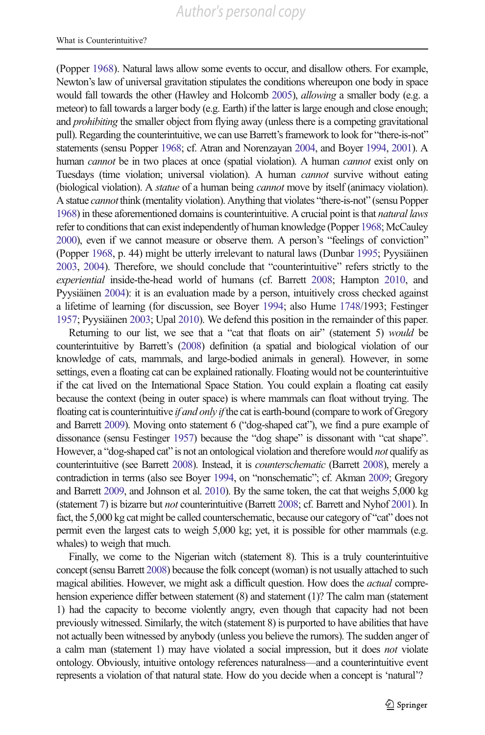(Popper [1968](#page-32-0)). Natural laws allow some events to occur, and disallow others. For example, Newton's law of universal gravitation stipulates the conditions whereupon one body in space would fall towards the other (Hawley and Holcomb [2005\)](#page-31-0), allowing a smaller body (e.g. a meteor) to fall towards a larger body (e.g. Earth) if the latter is large enough and close enough; and *prohibiting* the smaller object from flying away (unless there is a competing gravitational pull). Regarding the counterintuitive, we can use Barrett's framework to look for "there-is-not" statements (sensu Popper [1968](#page-32-0); cf. Atran and Norenzayan [2004,](#page-28-0) and Boyer [1994](#page-29-0), [2001](#page-29-0)). A human *cannot* be in two places at once (spatial violation). A human *cannot* exist only on Tuesdays (time violation; universal violation). A human cannot survive without eating (biological violation). A *statue* of a human being *cannot* move by itself (animacy violation). A statue cannot think (mentality violation). Anything that violates "there-is-not" (sensu Popper [1968](#page-32-0)) in these aforementioned domains is counterintuitive. A crucial point is that natural laws refer to conditions that can exist independently of human knowledge (Popper [1968;](#page-32-0) McCauley [2000](#page-31-0)), even if we cannot measure or observe them. A person's "feelings of conviction" (Popper [1968,](#page-32-0) p. 44) might be utterly irrelevant to natural laws (Dunbar [1995](#page-30-0); Pyysiäinen [2003,](#page-32-0) [2004\)](#page-32-0). Therefore, we should conclude that "counterintuitive" refers strictly to the experiential inside-the-head world of humans (cf. Barrett [2008](#page-29-0); Hampton [2010](#page-31-0), and Pyysiäinen [2004\)](#page-32-0): it is an evaluation made by a person, intuitively cross checked against a lifetime of learning (for discussion, see Boyer [1994;](#page-29-0) also Hume [1748/](#page-31-0)1993; Festinger [1957;](#page-30-0) Pyysiäinen [2003](#page-32-0); Upal [2010](#page-33-0)). We defend this position in the remainder of this paper.

Returning to our list, we see that a "cat that floats on air" (statement 5) would be counterintuitive by Barrett's [\(2008](#page-29-0)) definition (a spatial and biological violation of our knowledge of cats, mammals, and large-bodied animals in general). However, in some settings, even a floating cat can be explained rationally. Floating would not be counterintuitive if the cat lived on the International Space Station. You could explain a floating cat easily because the context (being in outer space) is where mammals can float without trying. The floating cat is counterintuitive *if and only if* the cat is earth-bound (compare to work of Gregory and Barrett [2009\)](#page-30-0). Moving onto statement 6 ("dog-shaped cat"), we find a pure example of dissonance (sensu Festinger [1957\)](#page-30-0) because the "dog shape" is dissonant with "cat shape". However, a "dog-shaped cat" is not an ontological violation and therefore would *not* qualify as counterintuitive (see Barrett [2008\)](#page-29-0). Instead, it is counterschematic (Barrett [2008](#page-29-0)), merely a contradiction in terms (also see Boyer [1994,](#page-29-0) on "nonschematic"; cf. Akman [2009](#page-28-0); Gregory and Barrett [2009](#page-30-0), and Johnson et al. [2010\)](#page-31-0). By the same token, the cat that weighs 5,000 kg (statement 7) is bizarre but not counterintuitive (Barrett [2008](#page-29-0); cf. Barrett and Nyhof [2001](#page-29-0)). In fact, the 5,000 kg cat might be called counterschematic, because our category of "cat" does not permit even the largest cats to weigh 5,000 kg; yet, it is possible for other mammals (e.g. whales) to weigh that much.

Finally, we come to the Nigerian witch (statement 8). This is a truly counterintuitive concept (sensu Barrett [2008](#page-29-0)) because the folk concept (woman) is not usually attached to such magical abilities. However, we might ask a difficult question. How does the actual comprehension experience differ between statement (8) and statement (1)? The calm man (statement 1) had the capacity to become violently angry, even though that capacity had not been previously witnessed. Similarly, the witch (statement 8) is purported to have abilities that have not actually been witnessed by anybody (unless you believe the rumors). The sudden anger of a calm man (statement 1) may have violated a social impression, but it does not violate ontology. Obviously, intuitive ontology references naturalness—and a counterintuitive event represents a violation of that natural state. How do you decide when a concept is 'natural'?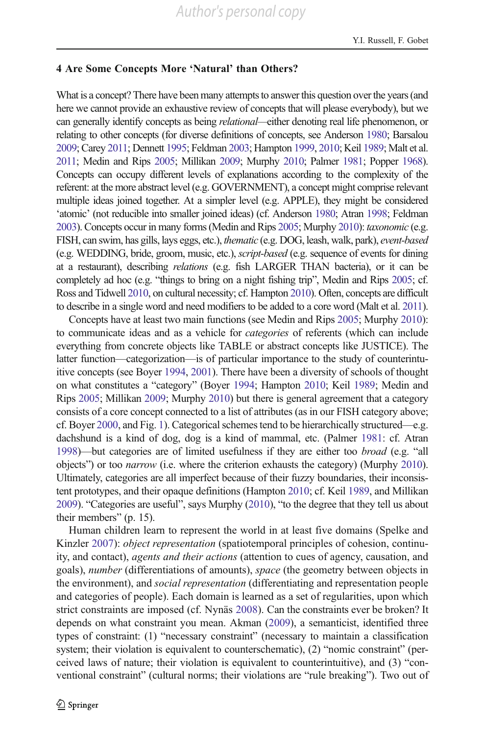### 4 Are Some Concepts More 'Natural' than Others?

What is a concept? There have been many attempts to answer this question over the years (and here we cannot provide an exhaustive review of concepts that will please everybody), but we can generally identify concepts as being *relational*—either denoting real life phenomenon, or relating to other concepts (for diverse definitions of concepts, see Anderson [1980;](#page-28-0) Barsalou [2009](#page-29-0); Carey [2011;](#page-29-0) Dennett [1995](#page-30-0); Feldman [2003;](#page-30-0) Hampton [1999,](#page-31-0) [2010;](#page-31-0) Keil [1989;](#page-31-0) Malt et al. [2011](#page-31-0); Medin and Rips [2005](#page-32-0); Millikan [2009;](#page-32-0) Murphy [2010](#page-32-0); Palmer [1981](#page-32-0); Popper [1968](#page-32-0)). Concepts can occupy different levels of explanations according to the complexity of the referent: at the more abstract level (e.g. GOVERNMENT), a concept might comprise relevant multiple ideas joined together. At a simpler level (e.g. APPLE), they might be considered 'atomic' (not reducible into smaller joined ideas) (cf. Anderson [1980;](#page-28-0) Atran [1998;](#page-28-0) Feldman [2003](#page-30-0)). Concepts occur in many forms (Medin and Rips [2005;](#page-32-0) Murphy [2010](#page-32-0)): taxonomic (e.g. FISH, can swim, has gills, lays eggs, etc.), thematic (e.g. DOG, leash, walk, park), event-based (e.g. WEDDING, bride, groom, music, etc.), script-based (e.g. sequence of events for dining at a restaurant), describing relations (e.g. fish LARGER THAN bacteria), or it can be completely ad hoc (e.g. "things to bring on a night fishing trip", Medin and Rips [2005;](#page-32-0) cf. Ross and Tidwell [2010](#page-32-0), on cultural necessity; cf. Hampton [2010\)](#page-31-0). Often, concepts are difficult to describe in a single word and need modifiers to be added to a core word (Malt et al. [2011](#page-31-0)).

Concepts have at least two main functions (see Medin and Rips [2005](#page-32-0); Murphy [2010\)](#page-32-0): to communicate ideas and as a vehicle for categories of referents (which can include everything from concrete objects like TABLE or abstract concepts like JUSTICE). The latter function—categorization—is of particular importance to the study of counterintuitive concepts (see Boyer [1994](#page-29-0), [2001](#page-29-0)). There have been a diversity of schools of thought on what constitutes a "category" (Boyer [1994;](#page-29-0) Hampton [2010](#page-31-0); Keil [1989;](#page-31-0) Medin and Rips [2005](#page-32-0); Millikan [2009](#page-32-0); Murphy [2010](#page-32-0)) but there is general agreement that a category consists of a core concept connected to a list of attributes (as in our FISH category above; cf. Boyer [2000,](#page-29-0) and Fig. [1\)](#page-3-0). Categorical schemes tend to be hierarchically structured—e.g. dachshund is a kind of dog, dog is a kind of mammal, etc. (Palmer [1981:](#page-32-0) cf. Atran [1998](#page-28-0))—but categories are of limited usefulness if they are either too broad (e.g. "all objects") or too narrow (i.e. where the criterion exhausts the category) (Murphy [2010\)](#page-32-0). Ultimately, categories are all imperfect because of their fuzzy boundaries, their inconsistent prototypes, and their opaque definitions (Hampton [2010](#page-31-0); cf. Keil [1989,](#page-31-0) and Millikan [2009](#page-32-0)). "Categories are useful", says Murphy [\(2010\)](#page-32-0), "to the degree that they tell us about their members" (p. 15).

Human children learn to represent the world in at least five domains (Spelke and Kinzler [2007](#page-33-0)): *object representation* (spatiotemporal principles of cohesion, continuity, and contact), agents and their actions (attention to cues of agency, causation, and goals), number (differentiations of amounts), space (the geometry between objects in the environment), and *social representation* (differentiating and representation people and categories of people). Each domain is learned as a set of regularities, upon which strict constraints are imposed (cf. Nynäs [2008\)](#page-32-0). Can the constraints ever be broken? It depends on what constraint you mean. Akman ([2009](#page-28-0)), a semanticist, identified three types of constraint: (1) "necessary constraint" (necessary to maintain a classification system; their violation is equivalent to counterschematic), (2) "nomic constraint" (perceived laws of nature; their violation is equivalent to counterintuitive), and (3) "conventional constraint" (cultural norms; their violations are "rule breaking"). Two out of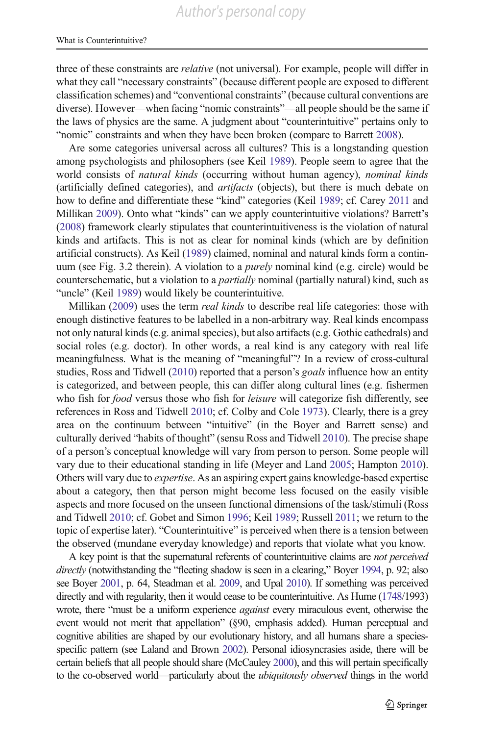three of these constraints are relative (not universal). For example, people will differ in what they call "necessary constraints" (because different people are exposed to different classification schemes) and "conventional constraints" (because cultural conventions are diverse). However—when facing "nomic constraints"—all people should be the same if the laws of physics are the same. A judgment about "counterintuitive" pertains only to "nomic" constraints and when they have been broken (compare to Barrett [2008\)](#page-29-0).

Are some categories universal across all cultures? This is a longstanding question among psychologists and philosophers (see Keil [1989\)](#page-31-0). People seem to agree that the world consists of natural kinds (occurring without human agency), nominal kinds (artificially defined categories), and artifacts (objects), but there is much debate on how to define and differentiate these "kind" categories (Keil [1989](#page-31-0); cf. Carey [2011](#page-29-0) and Millikan [2009\)](#page-32-0). Onto what "kinds" can we apply counterintuitive violations? Barrett's [\(2008\)](#page-29-0) framework clearly stipulates that counterintuitiveness is the violation of natural kinds and artifacts. This is not as clear for nominal kinds (which are by definition artificial constructs). As Keil [\(1989\)](#page-31-0) claimed, nominal and natural kinds form a continuum (see Fig. 3.2 therein). A violation to a purely nominal kind (e.g. circle) would be counterschematic, but a violation to a *partially* nominal (partially natural) kind, such as "uncle" (Keil [1989](#page-31-0)) would likely be counterintuitive.

Millikan ([2009](#page-32-0)) uses the term *real kinds* to describe real life categories: those with enough distinctive features to be labelled in a non-arbitrary way. Real kinds encompass not only natural kinds (e.g. animal species), but also artifacts (e.g. Gothic cathedrals) and social roles (e.g. doctor). In other words, a real kind is any category with real life meaningfulness. What is the meaning of "meaningful"? In a review of cross-cultural studies, Ross and Tidwell ([2010](#page-32-0)) reported that a person's *goals* influence how an entity is categorized, and between people, this can differ along cultural lines (e.g. fishermen who fish for *food* versus those who fish for *leisure* will categorize fish differently, see references in Ross and Tidwell [2010;](#page-32-0) cf. Colby and Cole [1973](#page-30-0)). Clearly, there is a grey area on the continuum between "intuitive" (in the Boyer and Barrett sense) and culturally derived "habits of thought" (sensu Ross and Tidwell [2010\)](#page-32-0). The precise shape of a person's conceptual knowledge will vary from person to person. Some people will vary due to their educational standing in life (Meyer and Land [2005;](#page-32-0) Hampton [2010\)](#page-31-0). Others will vary due to expertise. As an aspiring expert gains knowledge-based expertise about a category, then that person might become less focused on the easily visible aspects and more focused on the unseen functional dimensions of the task/stimuli (Ross and Tidwell [2010;](#page-32-0) cf. Gobet and Simon [1996](#page-30-0); Keil [1989](#page-31-0); Russell [2011](#page-32-0); we return to the topic of expertise later). "Counterintuitive" is perceived when there is a tension between the observed (mundane everyday knowledge) and reports that violate what you know.

A key point is that the supernatural referents of counterintuitive claims are not perceived directly (notwithstanding the "fleeting shadow is seen in a clearing," Boyer [1994](#page-29-0), p. 92; also see Boyer [2001](#page-29-0), p. 64, Steadman et al. [2009](#page-33-0), and Upal [2010\)](#page-33-0). If something was perceived directly and with regularity, then it would cease to be counterintuitive. As Hume [\(1748](#page-31-0)/1993) wrote, there "must be a uniform experience *against* every miraculous event, otherwise the event would not merit that appellation" (§90, emphasis added). Human perceptual and cognitive abilities are shaped by our evolutionary history, and all humans share a speciesspecific pattern (see Laland and Brown [2002](#page-31-0)). Personal idiosyncrasies aside, there will be certain beliefs that all people should share (McCauley [2000](#page-31-0)), and this will pertain specifically to the co-observed world—particularly about the *ubiquitously observed* things in the world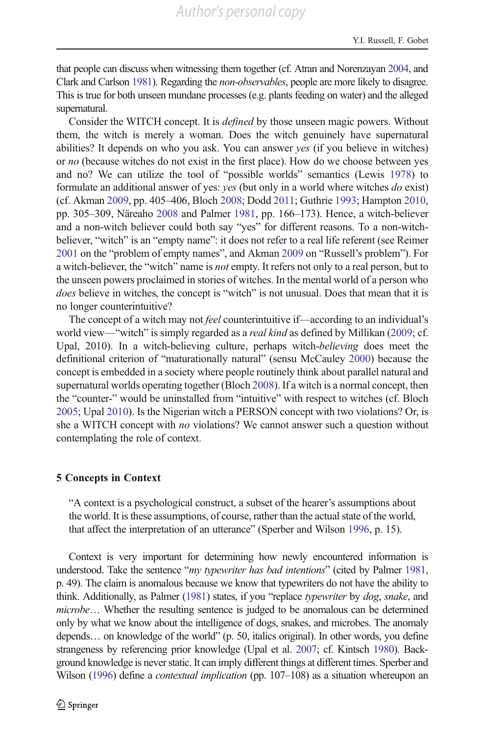that people can discuss when witnessing them together (cf. Atran and Norenzayan [2004](#page-28-0), and Clark and Carlson [1981\)](#page-30-0). Regarding the non-observables, people are more likely to disagree. This is true for both unseen mundane processes (e.g. plants feeding on water) and the alleged supernatural.

Consider the WITCH concept. It is defined by those unseen magic powers. Without them, the witch is merely a woman. Does the witch genuinely have supernatural abilities? It depends on who you ask. You can answer yes (if you believe in witches) or no (because witches do not exist in the first place). How do we choose between yes and no? We can utilize the tool of "possible worlds" semantics (Lewis [1978\)](#page-31-0) to formulate an additional answer of yes: yes (but only in a world where witches do exist) (cf. Akman [2009,](#page-28-0) pp. 405–406, Bloch [2008](#page-29-0); Dodd [2011](#page-30-0); Guthrie [1993](#page-30-0); Hampton [2010,](#page-31-0) pp. 305–309, Näreaho [2008](#page-32-0) and Palmer [1981,](#page-32-0) pp. 166–173). Hence, a witch-believer and a non-witch believer could both say "yes" for different reasons. To a non-witchbeliever, "witch" is an "empty name": it does not refer to a real life referent (see Reimer [2001](#page-32-0) on the "problem of empty names", and Akman [2009](#page-28-0) on "Russell's problem"). For a witch-believer, the "witch" name is *not* empty. It refers not only to a real person, but to the unseen powers proclaimed in stories of witches. In the mental world of a person who does believe in witches, the concept is "witch" is not unusual. Does that mean that it is no longer counterintuitive?

The concept of a witch may not *feel* counterintuitive if—according to an individual's world view—"witch" is simply regarded as a *real kind* as defined by Millikan [\(2009;](#page-32-0) cf. Upal, 2010). In a witch-believing culture, perhaps witch-believing does meet the definitional criterion of "maturationally natural" (sensu McCauley [2000\)](#page-31-0) because the concept is embedded in a society where people routinely think about parallel natural and supernatural worlds operating together (Bloch [2008](#page-29-0)). If a witch is a normal concept, then the "counter-" would be uninstalled from "intuitive" with respect to witches (cf. Bloch [2005;](#page-29-0) Upal [2010](#page-33-0)). Is the Nigerian witch a PERSON concept with two violations? Or, is she a WITCH concept with no violations? We cannot answer such a question without contemplating the role of context.

#### 5 Concepts in Context

"A context is a psychological construct, a subset of the hearer's assumptions about the world. It is these assumptions, of course, rather than the actual state of the world, that affect the interpretation of an utterance" (Sperber and Wilson [1996,](#page-33-0) p. 15).

Context is very important for determining how newly encountered information is understood. Take the sentence "my typewriter has bad intentions" (cited by Palmer [1981,](#page-32-0) p. 49). The claim is anomalous because we know that typewriters do not have the ability to think. Additionally, as Palmer [\(1981](#page-32-0)) states, if you "replace typewriter by dog, snake, and microbe… Whether the resulting sentence is judged to be anomalous can be determined only by what we know about the intelligence of dogs, snakes, and microbes. The anomaly depends… on knowledge of the world" (p. 50, italics original). In other words, you define strangeness by referencing prior knowledge (Upal et al. [2007](#page-33-0); cf. Kintsch [1980](#page-31-0)). Background knowledge is never static. It can imply different things at different times. Sperber and Wilson [\(1996](#page-33-0)) define a *contextual implication* (pp. 107–108) as a situation whereupon an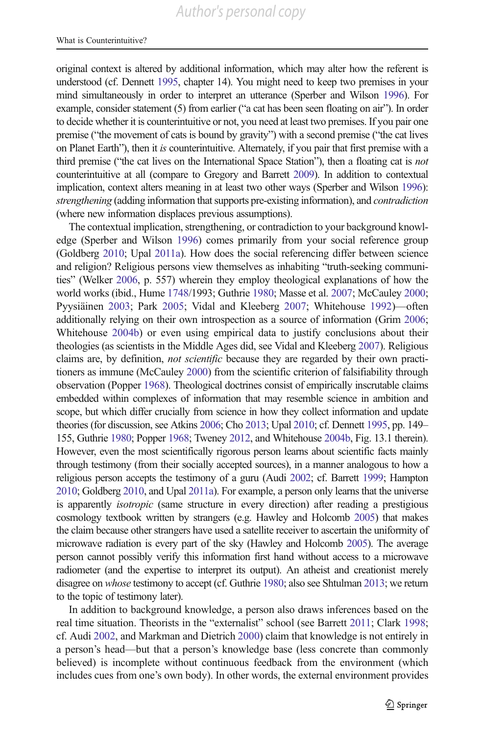original context is altered by additional information, which may alter how the referent is understood (cf. Dennett [1995](#page-30-0), chapter 14). You might need to keep two premises in your mind simultaneously in order to interpret an utterance (Sperber and Wilson [1996](#page-33-0)). For example, consider statement (5) from earlier ("a cat has been seen floating on air"). In order to decide whether it is counterintuitive or not, you need at least two premises. If you pair one premise ("the movement of cats is bound by gravity") with a second premise ("the cat lives on Planet Earth"), then it is counterintuitive. Alternately, if you pair that first premise with a third premise ("the cat lives on the International Space Station"), then a floating cat is not counterintuitive at all (compare to Gregory and Barrett [2009\)](#page-30-0). In addition to contextual implication, context alters meaning in at least two other ways (Sperber and Wilson [1996\)](#page-33-0): strengthening (adding information that supports pre-existing information), and contradiction (where new information displaces previous assumptions).

The contextual implication, strengthening, or contradiction to your background knowledge (Sperber and Wilson [1996\)](#page-33-0) comes primarily from your social reference group (Goldberg [2010;](#page-30-0) Upal [2011a](#page-33-0)). How does the social referencing differ between science and religion? Religious persons view themselves as inhabiting "truth-seeking communities" (Welker [2006,](#page-34-0) p. 557) wherein they employ theological explanations of how the world works (ibid., Hume [1748/](#page-31-0)1993; Guthrie [1980](#page-30-0); Masse et al. [2007](#page-31-0); McCauley [2000;](#page-31-0) Pyysiäinen [2003;](#page-32-0) Park [2005;](#page-32-0) Vidal and Kleeberg [2007](#page-33-0); Whitehouse [1992](#page-34-0))—often additionally relying on their own introspection as a source of information (Grim [2006;](#page-30-0) Whitehouse [2004b](#page-34-0)) or even using empirical data to justify conclusions about their theologies (as scientists in the Middle Ages did, see Vidal and Kleeberg [2007](#page-33-0)). Religious claims are, by definition, *not scientific* because they are regarded by their own practitioners as immune (McCauley [2000](#page-31-0)) from the scientific criterion of falsifiability through observation (Popper [1968](#page-32-0)). Theological doctrines consist of empirically inscrutable claims embedded within complexes of information that may resemble science in ambition and scope, but which differ crucially from science in how they collect information and update theories (for discussion, see Atkins [2006;](#page-28-0) Cho [2013](#page-29-0); Upal [2010;](#page-33-0) cf. Dennett [1995](#page-30-0), pp. 149– 155, Guthrie [1980;](#page-30-0) Popper [1968](#page-32-0); Tweney [2012,](#page-33-0) and Whitehouse [2004b](#page-34-0), Fig. 13.1 therein). However, even the most scientifically rigorous person learns about scientific facts mainly through testimony (from their socially accepted sources), in a manner analogous to how a religious person accepts the testimony of a guru (Audi [2002;](#page-28-0) cf. Barrett [1999](#page-29-0); Hampton [2010;](#page-31-0) Goldberg [2010](#page-30-0), and Upal [2011a](#page-33-0)). For example, a person only learns that the universe is apparently *isotropic* (same structure in every direction) after reading a prestigious cosmology textbook written by strangers (e.g. Hawley and Holcomb [2005\)](#page-31-0) that makes the claim because other strangers have used a satellite receiver to ascertain the uniformity of microwave radiation is every part of the sky (Hawley and Holcomb [2005](#page-31-0)). The average person cannot possibly verify this information first hand without access to a microwave radiometer (and the expertise to interpret its output). An atheist and creationist merely disagree on whose testimony to accept (cf. Guthrie [1980](#page-30-0); also see Shtulman [2013;](#page-33-0) we return to the topic of testimony later).

In addition to background knowledge, a person also draws inferences based on the real time situation. Theorists in the "externalist" school (see Barrett [2011](#page-29-0); Clark [1998;](#page-29-0) cf. Audi [2002](#page-28-0), and Markman and Dietrich [2000](#page-31-0)) claim that knowledge is not entirely in a person's head—but that a person's knowledge base (less concrete than commonly believed) is incomplete without continuous feedback from the environment (which includes cues from one's own body). In other words, the external environment provides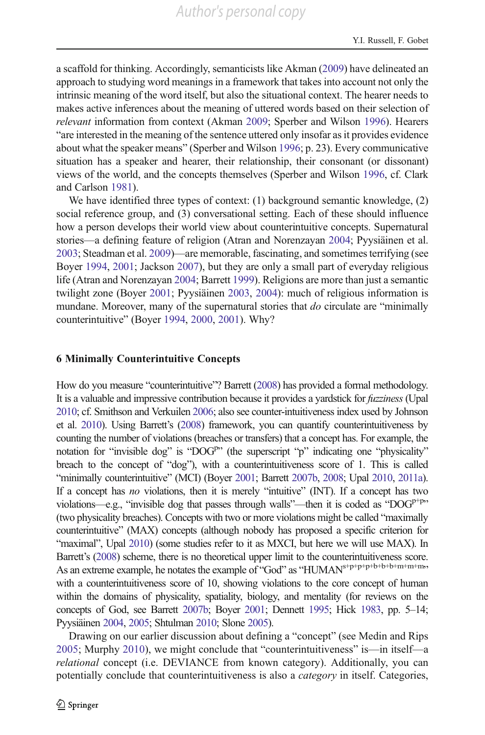a scaffold for thinking. Accordingly, semanticists like Akman [\(2009\)](#page-28-0) have delineated an approach to studying word meanings in a framework that takes into account not only the intrinsic meaning of the word itself, but also the situational context. The hearer needs to makes active inferences about the meaning of uttered words based on their selection of relevant information from context (Akman [2009;](#page-28-0) Sperber and Wilson [1996\)](#page-33-0). Hearers "are interested in the meaning of the sentence uttered only insofar as it provides evidence about what the speaker means" (Sperber and Wilson [1996](#page-33-0); p. 23). Every communicative situation has a speaker and hearer, their relationship, their consonant (or dissonant) views of the world, and the concepts themselves (Sperber and Wilson [1996,](#page-33-0) cf. Clark and Carlson [1981](#page-30-0)).

We have identified three types of context: (1) background semantic knowledge, (2) social reference group, and (3) conversational setting. Each of these should influence how a person develops their world view about counterintuitive concepts. Supernatural stories—a defining feature of religion (Atran and Norenzayan [2004;](#page-28-0) Pyysiäinen et al. [2003;](#page-32-0) Steadman et al. [2009\)](#page-33-0)—are memorable, fascinating, and sometimes terrifying (see Boyer [1994](#page-29-0), [2001;](#page-29-0) Jackson [2007](#page-31-0)), but they are only a small part of everyday religious life (Atran and Norenzayan [2004;](#page-28-0) Barrett [1999](#page-29-0)). Religions are more than just a semantic twilight zone (Boyer [2001](#page-29-0); Pyysiäinen [2003](#page-32-0), [2004](#page-32-0)): much of religious information is mundane. Moreover, many of the supernatural stories that do circulate are "minimally counterintuitive" (Boyer [1994,](#page-29-0) [2000,](#page-29-0) [2001](#page-29-0)). Why?

#### 6 Minimally Counterintuitive Concepts

How do you measure "counterintuitive"? Barrett [\(2008](#page-29-0)) has provided a formal methodology. It is a valuable and impressive contribution because it provides a yardstick for fuzziness (Upal [2010](#page-33-0); cf. Smithson and Verkuilen [2006](#page-33-0); also see counter-intuitiveness index used by Johnson et al. [2010](#page-31-0)). Using Barrett's [\(2008](#page-29-0)) framework, you can quantify counterintuitiveness by counting the number of violations (breaches or transfers) that a concept has. For example, the notation for "invisible dog" is "DOG<sup>p</sup>" (the superscript "p" indicating one "physicality" breach to the concept of "dog"), with a counterintuitiveness score of 1. This is called "minimally counterintuitive" (MCI) (Boyer [2001;](#page-29-0) Barrett [2007b,](#page-29-0) [2008](#page-29-0); Upal [2010,](#page-33-0) [2011a](#page-33-0)). If a concept has no violations, then it is merely "intuitive" (INT). If a concept has two violations—e.g., "invisible dog that passes through walls"—then it is coded as " $DOG<sup>p+p</sup>$ " (two physicality breaches). Concepts with two or more violations might be called "maximally counterintuitive" (MAX) concepts (although nobody has proposed a specific criterion for "maximal", Upal [2010](#page-33-0)) (some studies refer to it as MXCI, but here we will use MAX). In Barrett's [\(2008\)](#page-29-0) scheme, there is no theoretical upper limit to the counterintuitiveness score. As an extreme example, he notates the example of "God" as "HUMAN<sup>s+p+p+p+b+b+b+m+m+m,</sup> with a counterintuitiveness score of 10, showing violations to the core concept of human within the domains of physicality, spatiality, biology, and mentality (for reviews on the concepts of God, see Barrett [2007b;](#page-29-0) Boyer [2001](#page-29-0); Dennett [1995](#page-30-0); Hick [1983](#page-31-0), pp. 5–14; Pyysiäinen [2004,](#page-32-0) [2005](#page-32-0); Shtulman [2010](#page-33-0); Slone [2005\)](#page-33-0).

Drawing on our earlier discussion about defining a "concept" (see Medin and Rips [2005;](#page-32-0) Murphy [2010](#page-32-0)), we might conclude that "counterintuitiveness" is—in itself—a relational concept (i.e. DEVIANCE from known category). Additionally, you can potentially conclude that counterintuitiveness is also a category in itself. Categories,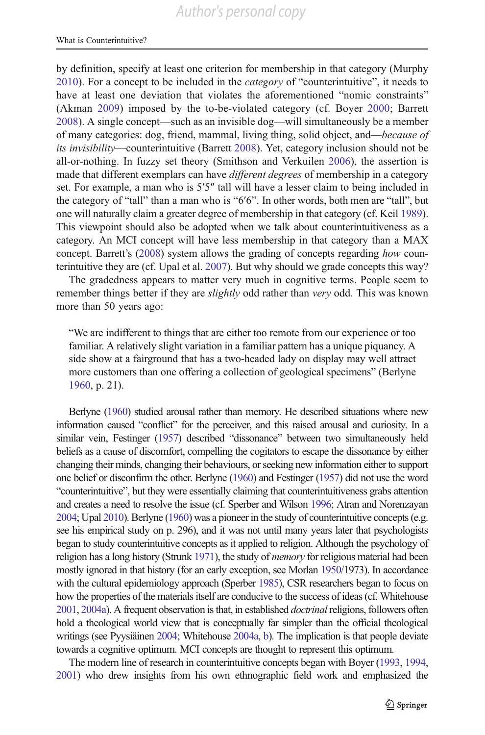by definition, specify at least one criterion for membership in that category (Murphy [2010\)](#page-32-0). For a concept to be included in the *category* of "counterintuitive", it needs to have at least one deviation that violates the aforementioned "nomic constraints" (Akman [2009\)](#page-28-0) imposed by the to-be-violated category (cf. Boyer [2000](#page-29-0); Barrett [2008\)](#page-29-0). A single concept—such as an invisible dog—will simultaneously be a member of many categories: dog, friend, mammal, living thing, solid object, and—because of its invisibility—counterintuitive (Barrett [2008](#page-29-0)). Yet, category inclusion should not be all-or-nothing. In fuzzy set theory (Smithson and Verkuilen [2006\)](#page-33-0), the assertion is made that different exemplars can have *different degrees* of membership in a category set. For example, a man who is 5′5″ tall will have a lesser claim to being included in the category of "tall" than a man who is "6′6". In other words, both men are "tall", but one will naturally claim a greater degree of membership in that category (cf. Keil [1989\)](#page-31-0). This viewpoint should also be adopted when we talk about counterintuitiveness as a category. An MCI concept will have less membership in that category than a MAX concept. Barrett's [\(2008\)](#page-29-0) system allows the grading of concepts regarding how counterintuitive they are (cf. Upal et al. [2007\)](#page-33-0). But why should we grade concepts this way?

The gradedness appears to matter very much in cognitive terms. People seem to remember things better if they are *slightly* odd rather than *very* odd. This was known more than 50 years ago:

"We are indifferent to things that are either too remote from our experience or too familiar. A relatively slight variation in a familiar pattern has a unique piquancy. A side show at a fairground that has a two-headed lady on display may well attract more customers than one offering a collection of geological specimens" (Berlyne [1960,](#page-29-0) p. 21).

Berlyne [\(1960\)](#page-29-0) studied arousal rather than memory. He described situations where new information caused "conflict" for the perceiver, and this raised arousal and curiosity. In a similar vein, Festinger [\(1957\)](#page-30-0) described "dissonance" between two simultaneously held beliefs as a cause of discomfort, compelling the cogitators to escape the dissonance by either changing their minds, changing their behaviours, or seeking new information either to support one belief or disconfirm the other. Berlyne [\(1960](#page-29-0)) and Festinger [\(1957\)](#page-30-0) did not use the word "counterintuitive", but they were essentially claiming that counterintuitiveness grabs attention and creates a need to resolve the issue (cf. Sperber and Wilson [1996](#page-33-0); Atran and Norenzayan [2004](#page-28-0); Upal [2010](#page-33-0)). Berlyne ([1960\)](#page-29-0) was a pioneer in the study of counterintuitive concepts (e.g. see his empirical study on p. 296), and it was not until many years later that psychologists began to study counterintuitive concepts as it applied to religion. Although the psychology of religion has a long history (Strunk [1971](#page-33-0)), the study of *memory* for religious material had been mostly ignored in that history (for an early exception, see Morlan [1950](#page-32-0)/1973). In accordance with the cultural epidemiology approach (Sperber [1985\)](#page-33-0), CSR researchers began to focus on how the properties of the materials itself are conducive to the success of ideas (cf. Whitehouse [2001](#page-34-0), [2004a](#page-34-0)). A frequent observation is that, in established *doctrinal* religions, followers often hold a theological world view that is conceptually far simpler than the official theological writings (see Pyysiäinen [2004;](#page-32-0) Whitehouse [2004a](#page-34-0), [b](#page-34-0)). The implication is that people deviate towards a cognitive optimum. MCI concepts are thought to represent this optimum.

The modern line of research in counterintuitive concepts began with Boyer [\(1993,](#page-29-0) [1994,](#page-29-0) [2001\)](#page-29-0) who drew insights from his own ethnographic field work and emphasized the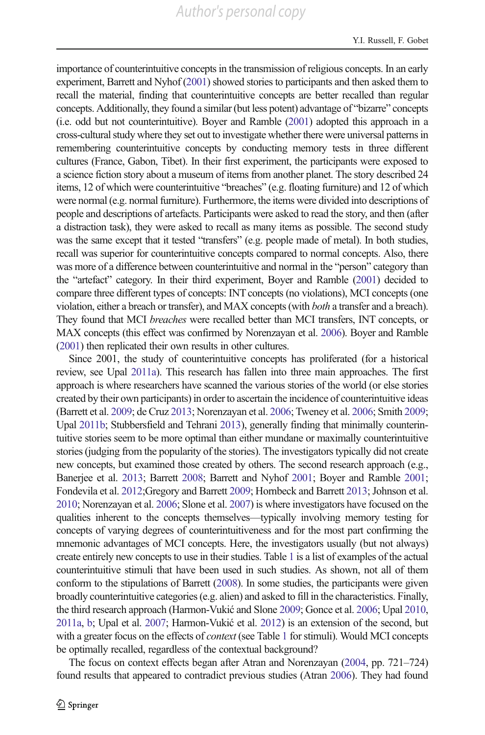importance of counterintuitive concepts in the transmission of religious concepts. In an early experiment, Barrett and Nyhof [\(2001\)](#page-29-0) showed stories to participants and then asked them to recall the material, finding that counterintuitive concepts are better recalled than regular concepts. Additionally, they found a similar (but less potent) advantage of "bizarre" concepts (i.e. odd but not counterintuitive). Boyer and Ramble [\(2001](#page-29-0)) adopted this approach in a cross-cultural study where they set out to investigate whether there were universal patterns in remembering counterintuitive concepts by conducting memory tests in three different cultures (France, Gabon, Tibet). In their first experiment, the participants were exposed to a science fiction story about a museum of items from another planet. The story described 24 items, 12 of which were counterintuitive "breaches" (e.g. floating furniture) and 12 of which were normal (e.g. normal furniture). Furthermore, the items were divided into descriptions of people and descriptions of artefacts. Participants were asked to read the story, and then (after a distraction task), they were asked to recall as many items as possible. The second study was the same except that it tested "transfers" (e.g. people made of metal). In both studies, recall was superior for counterintuitive concepts compared to normal concepts. Also, there was more of a difference between counterintuitive and normal in the "person" category than the "artefact" category. In their third experiment, Boyer and Ramble ([2001](#page-29-0)) decided to compare three different types of concepts: INT concepts (no violations), MCI concepts (one violation, either a breach or transfer), and MAX concepts (with both a transfer and a breach). They found that MCI breaches were recalled better than MCI transfers, INT concepts, or MAX concepts (this effect was confirmed by Norenzayan et al. [2006\)](#page-32-0). Boyer and Ramble [\(2001\)](#page-29-0) then replicated their own results in other cultures.

Since 2001, the study of counterintuitive concepts has proliferated (for a historical review, see Upal [2011a\)](#page-33-0). This research has fallen into three main approaches. The first approach is where researchers have scanned the various stories of the world (or else stories created by their own participants) in order to ascertain the incidence of counterintuitive ideas (Barrett et al. [2009;](#page-29-0) de Cruz [2013;](#page-30-0) Norenzayan et al. [2006;](#page-32-0) Tweney et al. [2006](#page-33-0); Smith [2009;](#page-33-0) Upal [2011b](#page-33-0); Stubbersfield and Tehrani [2013](#page-33-0)), generally finding that minimally counterintuitive stories seem to be more optimal than either mundane or maximally counterintuitive stories (judging from the popularity of the stories). The investigators typically did not create new concepts, but examined those created by others. The second research approach (e.g., Banerjee et al. [2013;](#page-29-0) Barrett [2008;](#page-29-0) Barrett and Nyhof [2001](#page-29-0); Boyer and Ramble [2001;](#page-29-0) Fondevila et al. [2012](#page-30-0);Gregory and Barrett [2009;](#page-30-0) Hornbeck and Barrett [2013](#page-31-0); Johnson et al. [2010;](#page-31-0) Norenzayan et al. [2006](#page-32-0); Slone et al. [2007\)](#page-33-0) is where investigators have focused on the qualities inherent to the concepts themselves—typically involving memory testing for concepts of varying degrees of counterintuitiveness and for the most part confirming the mnemonic advantages of MCI concepts. Here, the investigators usually (but not always) create entirely new concepts to use in their studies. Table [1](#page-7-0) is a list of examples of the actual counterintuitive stimuli that have been used in such studies. As shown, not all of them conform to the stipulations of Barrett [\(2008](#page-29-0)). In some studies, the participants were given broadly counterintuitive categories (e.g. alien) and asked to fill in the characteristics. Finally, the third research approach (Harmon-Vukić and Slone [2009](#page-31-0); Gonce et al. [2006](#page-30-0); Upal [2010,](#page-33-0) [2011a,](#page-33-0) [b;](#page-33-0) Upal et al. [2007](#page-33-0); Harmon-Vukić et al. [2012](#page-31-0)) is an extension of the second, but with a greater focus on the effects of *context* (see Table [1](#page-7-0) for stimuli). Would MCI concepts be optimally recalled, regardless of the contextual background?

The focus on context effects began after Atran and Norenzayan [\(2004,](#page-28-0) pp. 721–724) found results that appeared to contradict previous studies (Atran [2006\)](#page-28-0). They had found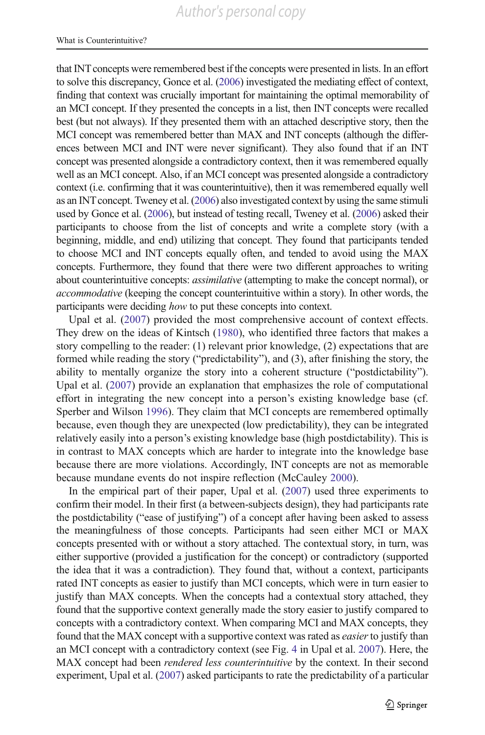that INT concepts were remembered best if the concepts were presented in lists. In an effort to solve this discrepancy, Gonce et al. [\(2006\)](#page-30-0) investigated the mediating effect of context, finding that context was crucially important for maintaining the optimal memorability of an MCI concept. If they presented the concepts in a list, then INT concepts were recalled best (but not always). If they presented them with an attached descriptive story, then the MCI concept was remembered better than MAX and INT concepts (although the differences between MCI and INT were never significant). They also found that if an INT concept was presented alongside a contradictory context, then it was remembered equally well as an MCI concept. Also, if an MCI concept was presented alongside a contradictory context (i.e. confirming that it was counterintuitive), then it was remembered equally well as an INTconcept. Tweney et al. [\(2006](#page-33-0)) also investigated context by using the same stimuli used by Gonce et al. ([2006\)](#page-30-0), but instead of testing recall, Tweney et al. ([2006\)](#page-33-0) asked their participants to choose from the list of concepts and write a complete story (with a beginning, middle, and end) utilizing that concept. They found that participants tended to choose MCI and INT concepts equally often, and tended to avoid using the MAX concepts. Furthermore, they found that there were two different approaches to writing about counterintuitive concepts: assimilative (attempting to make the concept normal), or accommodative (keeping the concept counterintuitive within a story). In other words, the participants were deciding how to put these concepts into context.

Upal et al. ([2007](#page-33-0)) provided the most comprehensive account of context effects. They drew on the ideas of Kintsch [\(1980](#page-31-0)), who identified three factors that makes a story compelling to the reader: (1) relevant prior knowledge, (2) expectations that are formed while reading the story ("predictability"), and (3), after finishing the story, the ability to mentally organize the story into a coherent structure ("postdictability"). Upal et al. [\(2007](#page-33-0)) provide an explanation that emphasizes the role of computational effort in integrating the new concept into a person's existing knowledge base (cf. Sperber and Wilson [1996](#page-33-0)). They claim that MCI concepts are remembered optimally because, even though they are unexpected (low predictability), they can be integrated relatively easily into a person's existing knowledge base (high postdictability). This is in contrast to MAX concepts which are harder to integrate into the knowledge base because there are more violations. Accordingly, INT concepts are not as memorable because mundane events do not inspire reflection (McCauley [2000](#page-31-0)).

In the empirical part of their paper, Upal et al. ([2007](#page-33-0)) used three experiments to confirm their model. In their first (a between-subjects design), they had participants rate the postdictability ("ease of justifying") of a concept after having been asked to assess the meaningfulness of those concepts. Participants had seen either MCI or MAX concepts presented with or without a story attached. The contextual story, in turn, was either supportive (provided a justification for the concept) or contradictory (supported the idea that it was a contradiction). They found that, without a context, participants rated INT concepts as easier to justify than MCI concepts, which were in turn easier to justify than MAX concepts. When the concepts had a contextual story attached, they found that the supportive context generally made the story easier to justify compared to concepts with a contradictory context. When comparing MCI and MAX concepts, they found that the MAX concept with a supportive context was rated as *easier* to justify than an MCI concept with a contradictory context (see Fig. [4](#page-25-0) in Upal et al. [2007\)](#page-33-0). Here, the MAX concept had been *rendered less counterintuitive* by the context. In their second experiment, Upal et al. [\(2007\)](#page-33-0) asked participants to rate the predictability of a particular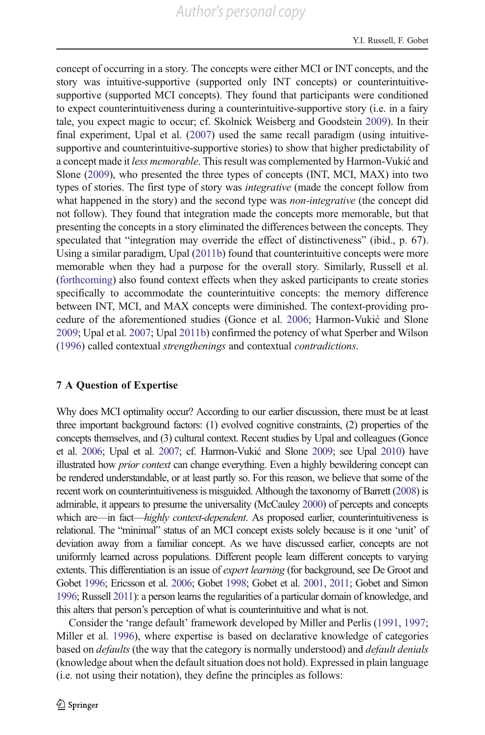concept of occurring in a story. The concepts were either MCI or INT concepts, and the story was intuitive-supportive (supported only INT concepts) or counterintuitivesupportive (supported MCI concepts). They found that participants were conditioned to expect counterintuitiveness during a counterintuitive-supportive story (i.e. in a fairy tale, you expect magic to occur; cf. Skolnick Weisberg and Goodstein [2009\)](#page-33-0). In their final experiment, Upal et al. ([2007\)](#page-33-0) used the same recall paradigm (using intuitivesupportive and counterintuitive-supportive stories) to show that higher predictability of a concept made it less memorable. This result was complemented by Harmon-Vukić and Slone [\(2009](#page-31-0)), who presented the three types of concepts (INT, MCI, MAX) into two types of stories. The first type of story was integrative (made the concept follow from what happened in the story) and the second type was *non-integrative* (the concept did not follow). They found that integration made the concepts more memorable, but that presenting the concepts in a story eliminated the differences between the concepts. They speculated that "integration may override the effect of distinctiveness" (ibid., p. 67). Using a similar paradigm, Upal [\(2011b](#page-33-0)) found that counterintuitive concepts were more memorable when they had a purpose for the overall story. Similarly, Russell et al. [\(forthcoming\)](#page-33-0) also found context effects when they asked participants to create stories specifically to accommodate the counterintuitive concepts: the memory difference between INT, MCI, and MAX concepts were diminished. The context-providing procedure of the aforementioned studies (Gonce et al. [2006;](#page-30-0) Harmon-Vukić and Slone [2009;](#page-31-0) Upal et al. [2007;](#page-33-0) Upal [2011b\)](#page-33-0) confirmed the potency of what Sperber and Wilson [\(1996\)](#page-33-0) called contextual strengthenings and contextual contradictions.

## 7 A Question of Expertise

Why does MCI optimality occur? According to our earlier discussion, there must be at least three important background factors: (1) evolved cognitive constraints, (2) properties of the concepts themselves, and (3) cultural context. Recent studies by Upal and colleagues (Gonce et al. [2006;](#page-30-0) Upal et al. [2007](#page-33-0); cf. Harmon-Vukić and Slone [2009](#page-31-0); see Upal [2010\)](#page-33-0) have illustrated how prior context can change everything. Even a highly bewildering concept can be rendered understandable, or at least partly so. For this reason, we believe that some of the recent work on counterintuitiveness is misguided. Although the taxonomy of Barrett [\(2008](#page-29-0)) is admirable, it appears to presume the universality (McCauley [2000\)](#page-31-0) of percepts and concepts which are—in fact—highly context-dependent. As proposed earlier, counterintuitiveness is relational. The "minimal" status of an MCI concept exists solely because is it one 'unit' of deviation away from a familiar concept. As we have discussed earlier, concepts are not uniformly learned across populations. Different people learn different concepts to varying extents. This differentiation is an issue of *expert learning* (for background, see De Groot and Gobet [1996;](#page-30-0) Ericsson et al. [2006;](#page-30-0) Gobet [1998](#page-30-0); Gobet et al. [2001](#page-30-0), [2011;](#page-30-0) Gobet and Simon [1996](#page-30-0); Russell [2011\)](#page-32-0): a person learns the regularities of a particular domain of knowledge, and this alters that person's perception of what is counterintuitive and what is not.

Consider the 'range default' framework developed by Miller and Perlis ([1991](#page-32-0), [1997;](#page-32-0) Miller et al. [1996\)](#page-32-0), where expertise is based on declarative knowledge of categories based on *defaults* (the way that the category is normally understood) and *default denials* (knowledge about when the default situation does not hold). Expressed in plain language (i.e. not using their notation), they define the principles as follows: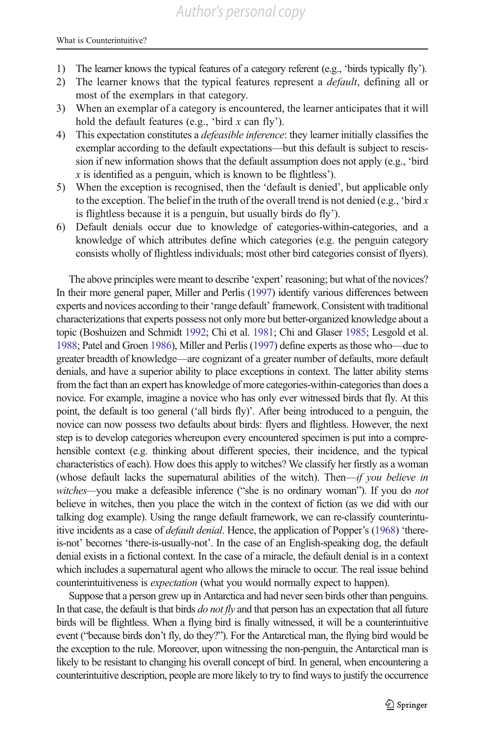- 1) The learner knows the typical features of a category referent (e.g., 'birds typically fly').
- 2) The learner knows that the typical features represent a *default*, defining all or most of the exemplars in that category.
- 3) When an exemplar of a category is encountered, the learner anticipates that it will hold the default features (e.g., 'bird  $x$  can fly').
- 4) This expectation constitutes a defeasible inference: they learner initially classifies the exemplar according to the default expectations—but this default is subject to rescission if new information shows that the default assumption does not apply (e.g., 'bird  $x$  is identified as a penguin, which is known to be flightless').
- 5) When the exception is recognised, then the 'default is denied', but applicable only to the exception. The belief in the truth of the overall trend is not denied (e.g., 'bird  $x$ ) is flightless because it is a penguin, but usually birds do fly').
- 6) Default denials occur due to knowledge of categories-within-categories, and a knowledge of which attributes define which categories (e.g. the penguin category consists wholly of flightless individuals; most other bird categories consist of flyers).

The above principles were meant to describe 'expert' reasoning; but what of the novices? In their more general paper, Miller and Perlis [\(1997](#page-32-0)) identify various differences between experts and novices according to their 'range default' framework. Consistent with traditional characterizations that experts possess not only more but better-organized knowledge about a topic (Boshuizen and Schmidt [1992;](#page-29-0) Chi et al. [1981](#page-29-0); Chi and Glaser [1985;](#page-29-0) Lesgold et al. [1988;](#page-31-0) Patel and Groen [1986](#page-32-0)), Miller and Perlis [\(1997](#page-32-0)) define experts as those who—due to greater breadth of knowledge—are cognizant of a greater number of defaults, more default denials, and have a superior ability to place exceptions in context. The latter ability stems from the fact than an expert has knowledge of more categories-within-categories than does a novice. For example, imagine a novice who has only ever witnessed birds that fly. At this point, the default is too general ('all birds fly)'. After being introduced to a penguin, the novice can now possess two defaults about birds: flyers and flightless. However, the next step is to develop categories whereupon every encountered specimen is put into a comprehensible context (e.g. thinking about different species, their incidence, and the typical characteristics of each). How does this apply to witches? We classify her firstly as a woman (whose default lacks the supernatural abilities of the witch). Then—if you believe in witches—you make a defeasible inference ("she is no ordinary woman"). If you do not believe in witches, then you place the witch in the context of fiction (as we did with our talking dog example). Using the range default framework, we can re-classify counterintuitive incidents as a case of *default denial*. Hence, the application of Popper's ([1968\)](#page-32-0) 'thereis-not' becomes 'there-is-usually-not'. In the case of an English-speaking dog, the default denial exists in a fictional context. In the case of a miracle, the default denial is in a context which includes a supernatural agent who allows the miracle to occur. The real issue behind counterintuitiveness is *expectation* (what you would normally expect to happen).

Suppose that a person grew up in Antarctica and had never seen birds other than penguins. In that case, the default is that birds  $do$  not  $fly$  and that person has an expectation that all future birds will be flightless. When a flying bird is finally witnessed, it will be a counterintuitive event ("because birds don't fly, do they?"). For the Antarctical man, the flying bird would be the exception to the rule. Moreover, upon witnessing the non-penguin, the Antarctical man is likely to be resistant to changing his overall concept of bird. In general, when encountering a counterintuitive description, people are more likely to try to find ways to justify the occurrence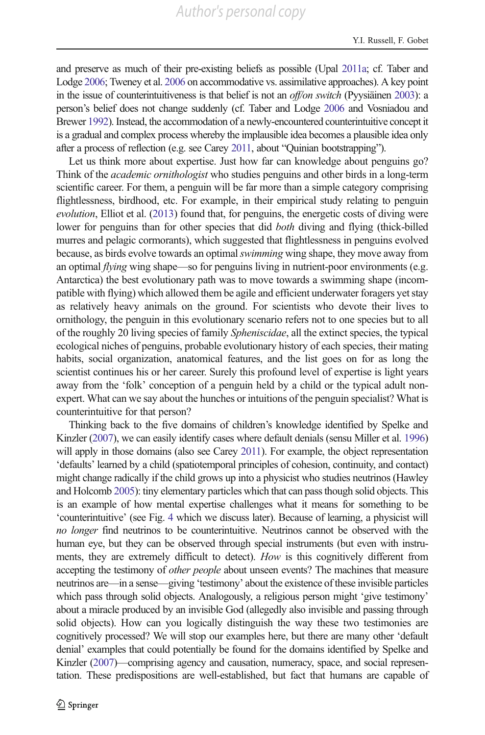and preserve as much of their pre-existing beliefs as possible (Upal [2011a](#page-33-0); cf. Taber and Lodge [2006](#page-33-0); Tweney et al. [2006](#page-33-0) on accommodative vs. assimilative approaches). A key point in the issue of counterintuitiveness is that belief is not an off/on switch (Pyysiäinen [2003\)](#page-32-0): a person's belief does not change suddenly (cf. Taber and Lodge [2006](#page-33-0) and Vosniadou and Brewer [1992](#page-34-0)). Instead, the accommodation of a newly-encountered counterintuitive concept it is a gradual and complex process whereby the implausible idea becomes a plausible idea only after a process of reflection (e.g. see Carey [2011,](#page-29-0) about "Quinian bootstrapping").

Let us think more about expertise. Just how far can knowledge about penguins go? Think of the *academic ornithologist* who studies penguins and other birds in a long-term scientific career. For them, a penguin will be far more than a simple category comprising flightlessness, birdhood, etc. For example, in their empirical study relating to penguin evolution, Elliot et al. [\(2013\)](#page-30-0) found that, for penguins, the energetic costs of diving were lower for penguins than for other species that did both diving and flying (thick-billed murres and pelagic cormorants), which suggested that flightlessness in penguins evolved because, as birds evolve towards an optimal *swimming* wing shape, they move away from an optimal *flying* wing shape—so for penguins living in nutrient-poor environments (e.g. Antarctica) the best evolutionary path was to move towards a swimming shape (incompatible with flying) which allowed them be agile and efficient underwater foragers yet stay as relatively heavy animals on the ground. For scientists who devote their lives to ornithology, the penguin in this evolutionary scenario refers not to one species but to all of the roughly 20 living species of family Spheniscidae, all the extinct species, the typical ecological niches of penguins, probable evolutionary history of each species, their mating habits, social organization, anatomical features, and the list goes on for as long the scientist continues his or her career. Surely this profound level of expertise is light years away from the 'folk' conception of a penguin held by a child or the typical adult nonexpert. What can we say about the hunches or intuitions of the penguin specialist? What is counterintuitive for that person?

Thinking back to the five domains of children's knowledge identified by Spelke and Kinzler [\(2007\)](#page-33-0), we can easily identify cases where default denials (sensu Miller et al. [1996](#page-32-0)) will apply in those domains (also see Carey [2011\)](#page-29-0). For example, the object representation 'defaults' learned by a child (spatiotemporal principles of cohesion, continuity, and contact) might change radically if the child grows up into a physicist who studies neutrinos (Hawley and Holcomb [2005](#page-31-0)): tiny elementary particles which that can pass though solid objects. This is an example of how mental expertise challenges what it means for something to be 'counterintuitive' (see Fig. [4](#page-25-0) which we discuss later). Because of learning, a physicist will no longer find neutrinos to be counterintuitive. Neutrinos cannot be observed with the human eye, but they can be observed through special instruments (but even with instruments, they are extremely difficult to detect). How is this cognitively different from accepting the testimony of *other people* about unseen events? The machines that measure neutrinos are—in a sense—giving 'testimony' about the existence of these invisible particles which pass through solid objects. Analogously, a religious person might 'give testimony' about a miracle produced by an invisible God (allegedly also invisible and passing through solid objects). How can you logically distinguish the way these two testimonies are cognitively processed? We will stop our examples here, but there are many other 'default denial' examples that could potentially be found for the domains identified by Spelke and Kinzler [\(2007](#page-33-0))—comprising agency and causation, numeracy, space, and social representation. These predispositions are well-established, but fact that humans are capable of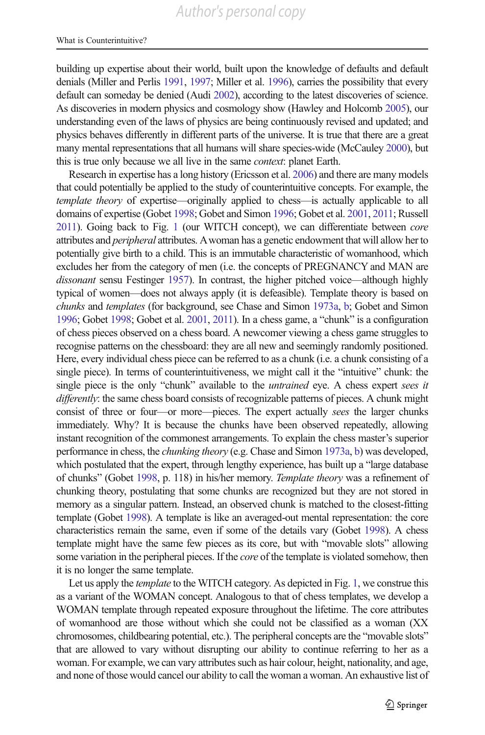building up expertise about their world, built upon the knowledge of defaults and default denials (Miller and Perlis [1991,](#page-32-0) [1997;](#page-32-0) Miller et al. [1996](#page-32-0)), carries the possibility that every default can someday be denied (Audi [2002](#page-28-0)), according to the latest discoveries of science. As discoveries in modern physics and cosmology show (Hawley and Holcomb [2005\)](#page-31-0), our understanding even of the laws of physics are being continuously revised and updated; and physics behaves differently in different parts of the universe. It is true that there are a great many mental representations that all humans will share species-wide (McCauley [2000\)](#page-31-0), but this is true only because we all live in the same context: planet Earth.

Research in expertise has a long history (Ericsson et al. [2006](#page-30-0)) and there are many models that could potentially be applied to the study of counterintuitive concepts. For example, the template theory of expertise—originally applied to chess—is actually applicable to all domains of expertise (Gobet [1998](#page-30-0); Gobet and Simon [1996](#page-30-0); Gobet et al. [2001,](#page-30-0) [2011](#page-30-0); Russell [2011\)](#page-32-0). Going back to Fig. [1](#page-3-0) (our WITCH concept), we can differentiate between *core* attributes and peripheral attributes. Awoman has a genetic endowment that will allow her to potentially give birth to a child. This is an immutable characteristic of womanhood, which excludes her from the category of men (i.e. the concepts of PREGNANCY and MAN are dissonant sensu Festinger [1957](#page-30-0)). In contrast, the higher pitched voice—although highly typical of women—does not always apply (it is defeasible). Template theory is based on chunks and templates (for background, see Chase and Simon [1973a,](#page-29-0) [b](#page-29-0); Gobet and Simon [1996;](#page-30-0) Gobet [1998;](#page-30-0) Gobet et al. [2001](#page-30-0), [2011](#page-30-0)). In a chess game, a "chunk" is a configuration of chess pieces observed on a chess board. A newcomer viewing a chess game struggles to recognise patterns on the chessboard: they are all new and seemingly randomly positioned. Here, every individual chess piece can be referred to as a chunk (i.e. a chunk consisting of a single piece). In terms of counterintuitiveness, we might call it the "intuitive" chunk: the single piece is the only "chunk" available to the *untrained* eye. A chess expert sees it differently: the same chess board consists of recognizable patterns of pieces. A chunk might consist of three or four—or more—pieces. The expert actually sees the larger chunks immediately. Why? It is because the chunks have been observed repeatedly, allowing instant recognition of the commonest arrangements. To explain the chess master's superior performance in chess, the chunking theory (e.g. Chase and Simon [1973a,](#page-29-0) [b\)](#page-29-0) was developed, which postulated that the expert, through lengthy experience, has built up a "large database of chunks" (Gobet [1998](#page-30-0), p. 118) in his/her memory. Template theory was a refinement of chunking theory, postulating that some chunks are recognized but they are not stored in memory as a singular pattern. Instead, an observed chunk is matched to the closest-fitting template (Gobet [1998\)](#page-30-0). A template is like an averaged-out mental representation: the core characteristics remain the same, even if some of the details vary (Gobet [1998](#page-30-0)). A chess template might have the same few pieces as its core, but with "movable slots" allowing some variation in the peripheral pieces. If the *core* of the template is violated somehow, then it is no longer the same template.

Let us apply the *template* to the WITCH category. As depicted in Fig. [1](#page-3-0), we construe this as a variant of the WOMAN concept. Analogous to that of chess templates, we develop a WOMAN template through repeated exposure throughout the lifetime. The core attributes of womanhood are those without which she could not be classified as a woman (XX chromosomes, childbearing potential, etc.). The peripheral concepts are the "movable slots" that are allowed to vary without disrupting our ability to continue referring to her as a woman. For example, we can vary attributes such as hair colour, height, nationality, and age, and none of those would cancel our ability to call the woman a woman. An exhaustive list of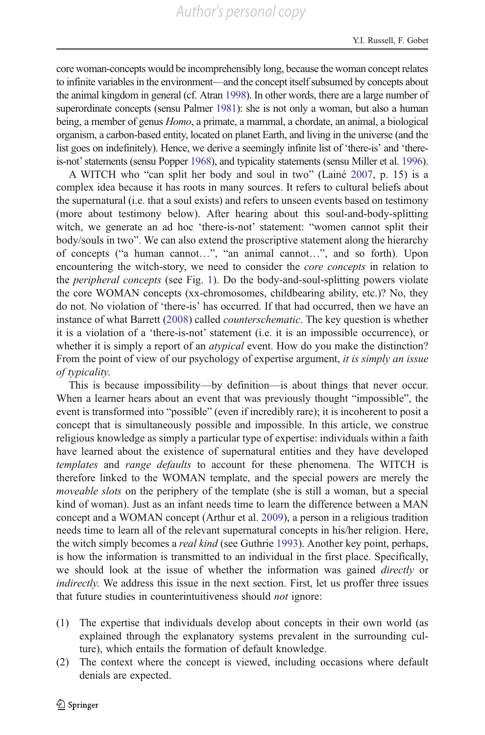core woman-concepts would be incomprehensibly long, because the woman concept relates to infinite variables in the environment—and the concept itself subsumed by concepts about the animal kingdom in general (cf. Atran [1998](#page-28-0)). In other words, there are a large number of superordinate concepts (sensu Palmer [1981\)](#page-32-0): she is not only a woman, but also a human being, a member of genus Homo, a primate, a mammal, a chordate, an animal, a biological organism, a carbon-based entity, located on planet Earth, and living in the universe (and the list goes on indefinitely). Hence, we derive a seemingly infinite list of 'there-is' and 'thereis-not'statements (sensu Popper [1968](#page-32-0)), and typicality statements (sensu Miller et al. [1996\)](#page-32-0).

A WITCH who "can split her body and soul in two" (Lainé [2007](#page-31-0), p. 15) is a complex idea because it has roots in many sources. It refers to cultural beliefs about the supernatural (i.e. that a soul exists) and refers to unseen events based on testimony (more about testimony below). After hearing about this soul-and-body-splitting witch, we generate an ad hoc 'there-is-not' statement: "women cannot split their body/souls in two". We can also extend the proscriptive statement along the hierarchy of concepts ("a human cannot…", "an animal cannot…", and so forth). Upon encountering the witch-story, we need to consider the *core concepts* in relation to the peripheral concepts (see Fig. [1](#page-3-0)). Do the body-and-soul-splitting powers violate the core WOMAN concepts (xx-chromosomes, childbearing ability, etc.)? No, they do not. No violation of 'there-is' has occurred. If that had occurred, then we have an instance of what Barrett ([2008\)](#page-29-0) called *counterschematic*. The key question is whether it is a violation of a 'there-is-not' statement (i.e. it is an impossible occurrence), or whether it is simply a report of an *atypical* event. How do you make the distinction? From the point of view of our psychology of expertise argument, it is simply an issue of typicality.

This is because impossibility—by definition—is about things that never occur. When a learner hears about an event that was previously thought "impossible", the event is transformed into "possible" (even if incredibly rare); it is incoherent to posit a concept that is simultaneously possible and impossible. In this article, we construe religious knowledge as simply a particular type of expertise: individuals within a faith have learned about the existence of supernatural entities and they have developed templates and range defaults to account for these phenomena. The WITCH is therefore linked to the WOMAN template, and the special powers are merely the moveable slots on the periphery of the template (she is still a woman, but a special kind of woman). Just as an infant needs time to learn the difference between a MAN concept and a WOMAN concept (Arthur et al. [2009\)](#page-28-0), a person in a religious tradition needs time to learn all of the relevant supernatural concepts in his/her religion. Here, the witch simply becomes a *real kind* (see Guthrie [1993](#page-30-0)). Another key point, perhaps, is how the information is transmitted to an individual in the first place. Specifically, we should look at the issue of whether the information was gained directly or indirectly. We address this issue in the next section. First, let us proffer three issues that future studies in counterintuitiveness should not ignore:

- (1) The expertise that individuals develop about concepts in their own world (as explained through the explanatory systems prevalent in the surrounding culture), which entails the formation of default knowledge.
- (2) The context where the concept is viewed, including occasions where default denials are expected.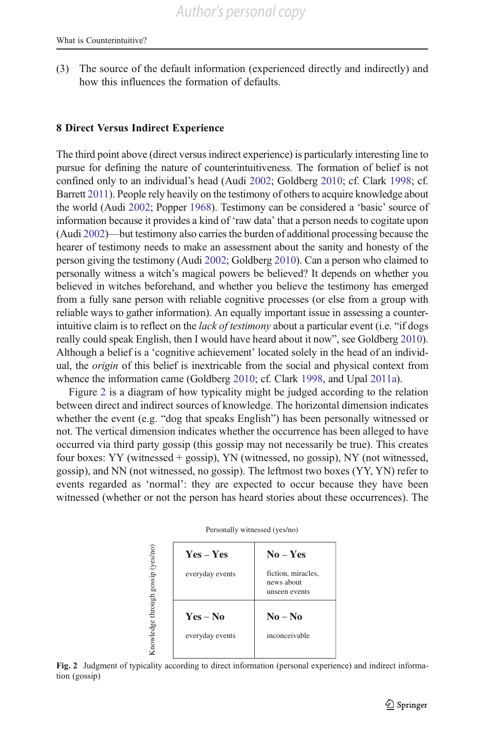<span id="page-22-0"></span>(3) The source of the default information (experienced directly and indirectly) and how this influences the formation of defaults.

### 8 Direct Versus Indirect Experience

The third point above (direct versus indirect experience) is particularly interesting line to pursue for defining the nature of counterintuitiveness. The formation of belief is not confined only to an individual's head (Audi [2002;](#page-28-0) Goldberg [2010](#page-30-0); cf. Clark [1998;](#page-29-0) cf. Barrett [2011\)](#page-29-0). People rely heavily on the testimony of others to acquire knowledge about the world (Audi [2002](#page-28-0); Popper [1968\)](#page-32-0). Testimony can be considered a 'basic' source of information because it provides a kind of 'raw data' that a person needs to cogitate upon (Audi [2002](#page-28-0))—but testimony also carries the burden of additional processing because the hearer of testimony needs to make an assessment about the sanity and honesty of the person giving the testimony (Audi [2002](#page-28-0); Goldberg [2010](#page-30-0)). Can a person who claimed to personally witness a witch's magical powers be believed? It depends on whether you believed in witches beforehand, and whether you believe the testimony has emerged from a fully sane person with reliable cognitive processes (or else from a group with reliable ways to gather information). An equally important issue in assessing a counterintuitive claim is to reflect on the *lack of testimony* about a particular event (i.e. "if dogs really could speak English, then I would have heard about it now", see Goldberg [2010\)](#page-30-0). Although a belief is a 'cognitive achievement' located solely in the head of an individual, the origin of this belief is inextricable from the social and physical context from whence the information came (Goldberg [2010](#page-30-0); cf. Clark [1998](#page-29-0), and Upal [2011a](#page-33-0)).

Figure 2 is a diagram of how typicality might be judged according to the relation between direct and indirect sources of knowledge. The horizontal dimension indicates whether the event (e.g. "dog that speaks English") has been personally witnessed or not. The vertical dimension indicates whether the occurrence has been alleged to have occurred via third party gossip (this gossip may not necessarily be true). This creates four boxes: YY (witnessed + gossip), YN (witnessed, no gossip), NY (not witnessed, gossip), and NN (not witnessed, no gossip). The leftmost two boxes (YY, YN) refer to events regarded as 'normal': they are expected to occur because they have been witnessed (whether or not the person has heard stories about these occurrences). The

|                                   | Yes – Yes                   | $No - Yes$                                        |  |
|-----------------------------------|-----------------------------|---------------------------------------------------|--|
|                                   | everyday events             | fiction, miracles,<br>news about<br>unseen events |  |
| Knowledge through gossip (yes/no) | Yes – No<br>everyday events | $No - No$<br>inconceivable                        |  |

Personally witnessed (yes/no)

Fig. 2 Judgment of typicality according to direct information (personal experience) and indirect information (gossip)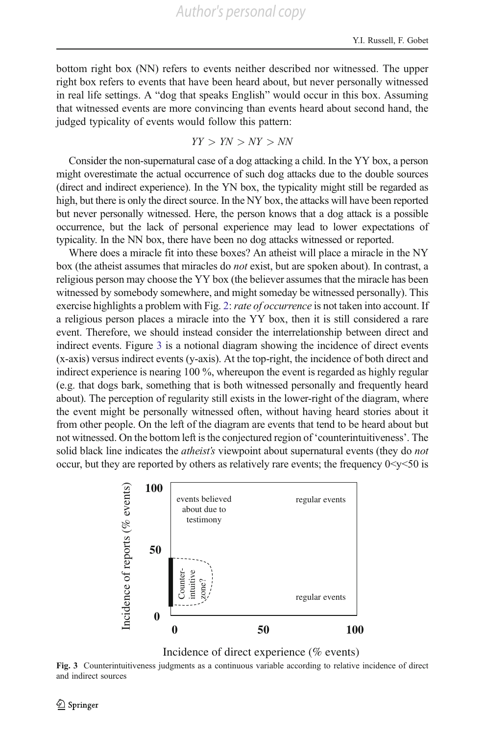bottom right box (NN) refers to events neither described nor witnessed. The upper right box refers to events that have been heard about, but never personally witnessed in real life settings. A "dog that speaks English" would occur in this box. Assuming that witnessed events are more convincing than events heard about second hand, the judged typicality of events would follow this pattern:

YY > YN > NY > NN

Consider the non-supernatural case of a dog attacking a child. In the YY box, a person might overestimate the actual occurrence of such dog attacks due to the double sources (direct and indirect experience). In the YN box, the typicality might still be regarded as high, but there is only the direct source. In the NY box, the attacks will have been reported but never personally witnessed. Here, the person knows that a dog attack is a possible occurrence, but the lack of personal experience may lead to lower expectations of typicality. In the NN box, there have been no dog attacks witnessed or reported.

Where does a miracle fit into these boxes? An atheist will place a miracle in the NY box (the atheist assumes that miracles do not exist, but are spoken about). In contrast, a religious person may choose the YY box (the believer assumes that the miracle has been witnessed by somebody somewhere, and might someday be witnessed personally). This exercise highlights a problem with Fig. [2](#page-22-0): rate of occurrence is not taken into account. If a religious person places a miracle into the YY box, then it is still considered a rare event. Therefore, we should instead consider the interrelationship between direct and indirect events. Figure 3 is a notional diagram showing the incidence of direct events (x-axis) versus indirect events (y-axis). At the top-right, the incidence of both direct and indirect experience is nearing 100 %, whereupon the event is regarded as highly regular (e.g. that dogs bark, something that is both witnessed personally and frequently heard about). The perception of regularity still exists in the lower-right of the diagram, where the event might be personally witnessed often, without having heard stories about it from other people. On the left of the diagram are events that tend to be heard about but not witnessed. On the bottom left is the conjectured region of 'counterintuitiveness'. The solid black line indicates the *atheist's* viewpoint about supernatural events (they do *not* occur, but they are reported by others as relatively rare events; the frequency  $0 < y < 50$  is



Incidence of direct experience (% events)

Fig. 3 Counterintuitiveness judgments as a continuous variable according to relative incidence of direct and indirect sources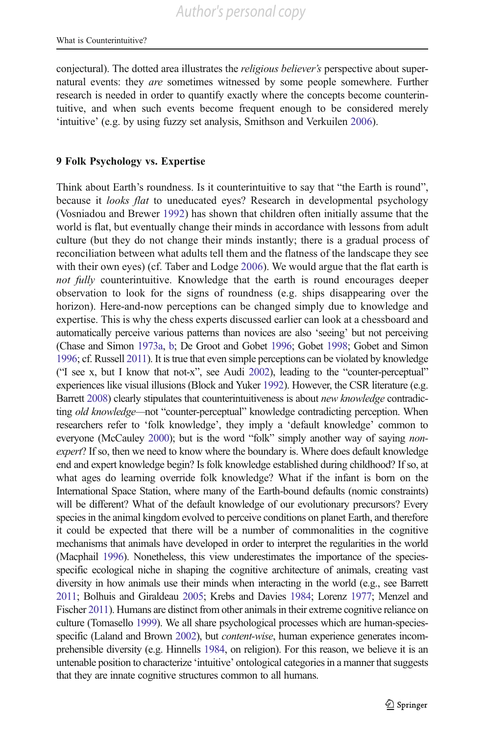conjectural). The dotted area illustrates the *religious believer's* perspective about supernatural events: they are sometimes witnessed by some people somewhere. Further research is needed in order to quantify exactly where the concepts become counterintuitive, and when such events become frequent enough to be considered merely 'intuitive' (e.g. by using fuzzy set analysis, Smithson and Verkuilen [2006](#page-33-0)).

### 9 Folk Psychology vs. Expertise

Think about Earth's roundness. Is it counterintuitive to say that "the Earth is round", because it *looks flat* to uneducated eyes? Research in developmental psychology (Vosniadou and Brewer [1992\)](#page-34-0) has shown that children often initially assume that the world is flat, but eventually change their minds in accordance with lessons from adult culture (but they do not change their minds instantly; there is a gradual process of reconciliation between what adults tell them and the flatness of the landscape they see with their own eyes) (cf. Taber and Lodge [2006](#page-33-0)). We would argue that the flat earth is not fully counterintuitive. Knowledge that the earth is round encourages deeper observation to look for the signs of roundness (e.g. ships disappearing over the horizon). Here-and-now perceptions can be changed simply due to knowledge and expertise. This is why the chess experts discussed earlier can look at a chessboard and automatically perceive various patterns than novices are also 'seeing' but not perceiving (Chase and Simon [1973a,](#page-29-0) [b;](#page-29-0) De Groot and Gobet [1996](#page-30-0); Gobet [1998;](#page-30-0) Gobet and Simon [1996;](#page-30-0) cf. Russell [2011](#page-32-0)). It is true that even simple perceptions can be violated by knowledge ("I see x, but I know that not-x", see Audi [2002](#page-28-0)), leading to the "counter-perceptual" experiences like visual illusions (Block and Yuker [1992](#page-29-0)). However, the CSR literature (e.g. Barrett [2008\)](#page-29-0) clearly stipulates that counterintuitiveness is about new knowledge contradicting old knowledge—not "counter-perceptual" knowledge contradicting perception. When researchers refer to 'folk knowledge', they imply a 'default knowledge' common to everyone (McCauley [2000](#page-31-0)); but is the word "folk" simply another way of saying *non*expert? If so, then we need to know where the boundary is. Where does default knowledge end and expert knowledge begin? Is folk knowledge established during childhood? If so, at what ages do learning override folk knowledge? What if the infant is born on the International Space Station, where many of the Earth-bound defaults (nomic constraints) will be different? What of the default knowledge of our evolutionary precursors? Every species in the animal kingdom evolved to perceive conditions on planet Earth, and therefore it could be expected that there will be a number of commonalities in the cognitive mechanisms that animals have developed in order to interpret the regularities in the world (Macphail [1996\)](#page-31-0). Nonetheless, this view underestimates the importance of the speciesspecific ecological niche in shaping the cognitive architecture of animals, creating vast diversity in how animals use their minds when interacting in the world (e.g., see Barrett [2011;](#page-29-0) Bolhuis and Giraldeau [2005](#page-29-0); Krebs and Davies [1984;](#page-31-0) Lorenz [1977;](#page-31-0) Menzel and Fischer [2011\)](#page-32-0). Humans are distinct from other animals in their extreme cognitive reliance on culture (Tomasello [1999](#page-33-0)). We all share psychological processes which are human-species-specific (Laland and Brown [2002\)](#page-31-0), but *content-wise*, human experience generates incomprehensible diversity (e.g. Hinnells [1984,](#page-31-0) on religion). For this reason, we believe it is an untenable position to characterize 'intuitive' ontological categories in a manner that suggests that they are innate cognitive structures common to all humans.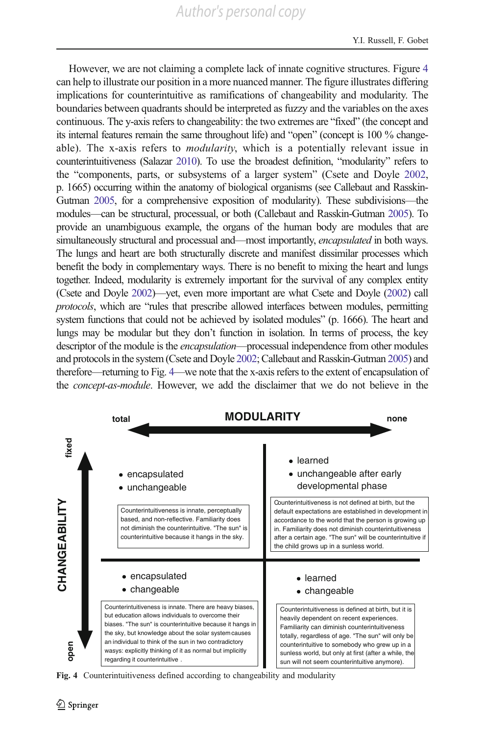<span id="page-25-0"></span>However, we are not claiming a complete lack of innate cognitive structures. Figure 4 can help to illustrate our position in a more nuanced manner. The figure illustrates differing implications for counterintuitive as ramifications of changeability and modularity. The boundaries between quadrants should be interpreted as fuzzy and the variables on the axes continuous. The y-axis refers to changeability: the two extremes are "fixed" (the concept and its internal features remain the same throughout life) and "open" (concept is 100 % changeable). The x-axis refers to *modularity*, which is a potentially relevant issue in counterintuitiveness (Salazar [2010](#page-33-0)). To use the broadest definition, "modularity" refers to the "components, parts, or subsystems of a larger system" (Csete and Doyle [2002,](#page-30-0) p. 1665) occurring within the anatomy of biological organisms (see Callebaut and Rasskin-Gutman [2005,](#page-29-0) for a comprehensive exposition of modularity). These subdivisions—the modules—can be structural, processual, or both (Callebaut and Rasskin-Gutman [2005](#page-29-0)). To provide an unambiguous example, the organs of the human body are modules that are simultaneously structural and processual and—most importantly, encapsulated in both ways. The lungs and heart are both structurally discrete and manifest dissimilar processes which benefit the body in complementary ways. There is no benefit to mixing the heart and lungs together. Indeed, modularity is extremely important for the survival of any complex entity (Csete and Doyle [2002\)](#page-30-0)—yet, even more important are what Csete and Doyle [\(2002](#page-30-0)) call protocols, which are "rules that prescribe allowed interfaces between modules, permitting system functions that could not be achieved by isolated modules" (p. 1666). The heart and lungs may be modular but they don't function in isolation. In terms of process, the key descriptor of the module is the *encapsulation*—processual independence from other modules and protocols in the system (Csete and Doyle [2002;](#page-30-0) Callebaut and Rasskin-Gutman [2005](#page-29-0)) and therefore—returning to Fig. 4—we note that the x-axis refers to the extent of encapsulation of the concept-as-module. However, we add the disclaimer that we do not believe in the



Fig. 4 Counterintuitiveness defined according to changeability and modularity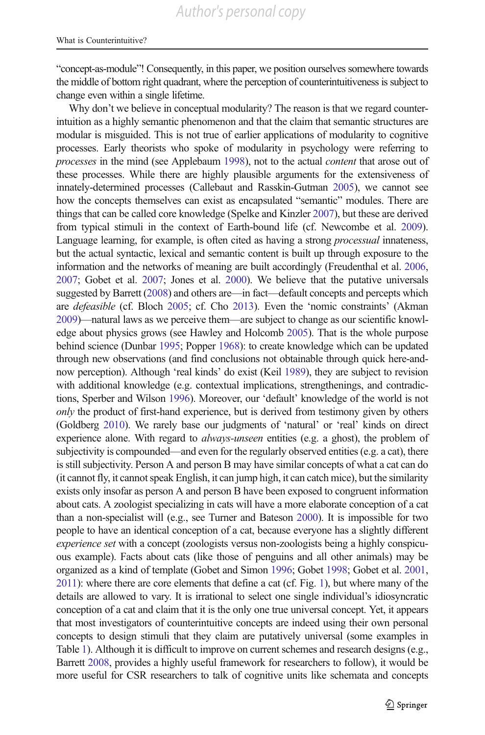"concept-as-module"! Consequently, in this paper, we position ourselves somewhere towards the middle of bottom right quadrant, where the perception of counterintuitiveness is subject to change even within a single lifetime.

Why don't we believe in conceptual modularity? The reason is that we regard counterintuition as a highly semantic phenomenon and that the claim that semantic structures are modular is misguided. This is not true of earlier applications of modularity to cognitive processes. Early theorists who spoke of modularity in psychology were referring to processes in the mind (see Applebaum [1998\)](#page-28-0), not to the actual content that arose out of these processes. While there are highly plausible arguments for the extensiveness of innately-determined processes (Callebaut and Rasskin-Gutman [2005\)](#page-29-0), we cannot see how the concepts themselves can exist as encapsulated "semantic" modules. There are things that can be called core knowledge (Spelke and Kinzler [2007\)](#page-33-0), but these are derived from typical stimuli in the context of Earth-bound life (cf. Newcombe et al. [2009\)](#page-32-0). Language learning, for example, is often cited as having a strong *processual* innateness, but the actual syntactic, lexical and semantic content is built up through exposure to the information and the networks of meaning are built accordingly (Freudenthal et al. [2006,](#page-30-0) [2007](#page-30-0); Gobet et al. [2007;](#page-30-0) Jones et al. [2000\)](#page-31-0). We believe that the putative universals suggested by Barrett [\(2008](#page-29-0)) and others are—in fact—default concepts and percepts which are defeasible (cf. Bloch [2005;](#page-29-0) cf. Cho [2013](#page-29-0)). Even the 'nomic constraints' (Akman [2009](#page-28-0))—natural laws as we perceive them—are subject to change as our scientific knowledge about physics grows (see Hawley and Holcomb [2005](#page-31-0)). That is the whole purpose behind science (Dunbar [1995](#page-30-0); Popper [1968](#page-32-0)): to create knowledge which can be updated through new observations (and find conclusions not obtainable through quick here-andnow perception). Although 'real kinds' do exist (Keil [1989](#page-31-0)), they are subject to revision with additional knowledge (e.g. contextual implications, strengthenings, and contradictions, Sperber and Wilson [1996](#page-33-0)). Moreover, our 'default' knowledge of the world is not only the product of first-hand experience, but is derived from testimony given by others (Goldberg [2010\)](#page-30-0). We rarely base our judgments of 'natural' or 'real' kinds on direct experience alone. With regard to *always-unseen* entities (e.g. a ghost), the problem of subjectivity is compounded—and even for the regularly observed entities (e.g. a cat), there is still subjectivity. Person A and person B may have similar concepts of what a cat can do (it cannot fly, it cannot speak English, it can jump high, it can catch mice), but the similarity exists only insofar as person A and person B have been exposed to congruent information about cats. A zoologist specializing in cats will have a more elaborate conception of a cat than a non-specialist will (e.g., see Turner and Bateson [2000](#page-33-0)). It is impossible for two people to have an identical conception of a cat, because everyone has a slightly different experience set with a concept (zoologists versus non-zoologists being a highly conspicuous example). Facts about cats (like those of penguins and all other animals) may be organized as a kind of template (Gobet and Simon [1996;](#page-30-0) Gobet [1998;](#page-30-0) Gobet et al. [2001,](#page-30-0) [2011\)](#page-30-0): where there are core elements that define a cat (cf. Fig. [1](#page-3-0)), but where many of the details are allowed to vary. It is irrational to select one single individual's idiosyncratic conception of a cat and claim that it is the only one true universal concept. Yet, it appears that most investigators of counterintuitive concepts are indeed using their own personal concepts to design stimuli that they claim are putatively universal (some examples in Table [1\)](#page-7-0). Although it is difficult to improve on current schemes and research designs (e.g., Barrett [2008,](#page-29-0) provides a highly useful framework for researchers to follow), it would be more useful for CSR researchers to talk of cognitive units like schemata and concepts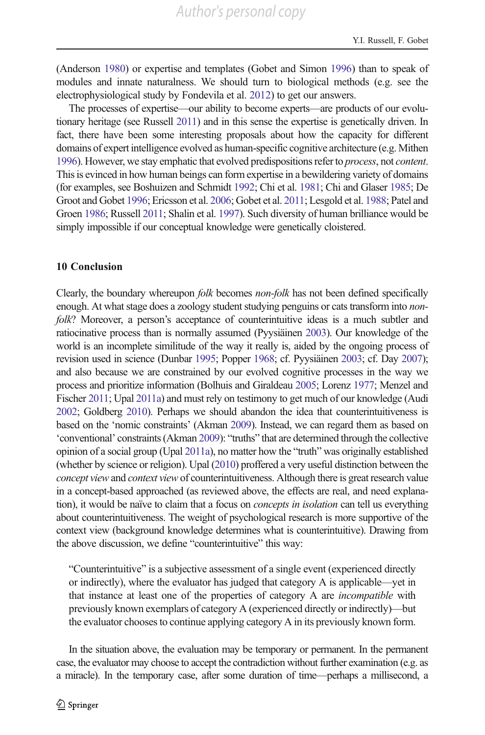(Anderson [1980\)](#page-28-0) or expertise and templates (Gobet and Simon [1996\)](#page-30-0) than to speak of modules and innate naturalness. We should turn to biological methods (e.g. see the electrophysiological study by Fondevila et al. [2012](#page-30-0)) to get our answers.

The processes of expertise—our ability to become experts—are products of our evolutionary heritage (see Russell [2011](#page-32-0)) and in this sense the expertise is genetically driven. In fact, there have been some interesting proposals about how the capacity for different domains of expert intelligence evolved as human-specific cognitive architecture (e.g. Mithen [1996\)](#page-32-0). However, we stay emphatic that evolved predispositions refer to process, not content. This is evinced in how human beings can form expertise in a bewildering variety of domains (for examples, see Boshuizen and Schmidt [1992;](#page-29-0) Chi et al. [1981](#page-29-0); Chi and Glaser [1985](#page-29-0); De Groot and Gobet [1996;](#page-30-0) Ericsson et al. [2006](#page-30-0); Gobet et al. [2011](#page-30-0); Lesgold et al. [1988](#page-31-0); Patel and Groen [1986](#page-32-0); Russell [2011;](#page-32-0) Shalin et al. [1997\)](#page-33-0). Such diversity of human brilliance would be simply impossible if our conceptual knowledge were genetically cloistered.

#### 10 Conclusion

Clearly, the boundary whereupon *folk* becomes *non-folk* has not been defined specifically enough. At what stage does a zoology student studying penguins or cats transform into *non*folk? Moreover, a person's acceptance of counterintuitive ideas is a much subtler and ratiocinative process than is normally assumed (Pyysiäinen [2003\)](#page-32-0). Our knowledge of the world is an incomplete similitude of the way it really is, aided by the ongoing process of revision used in science (Dunbar [1995](#page-30-0); Popper [1968;](#page-32-0) cf. Pyysiäinen [2003](#page-32-0); cf. Day [2007\)](#page-30-0); and also because we are constrained by our evolved cognitive processes in the way we process and prioritize information (Bolhuis and Giraldeau [2005;](#page-29-0) Lorenz [1977](#page-31-0); Menzel and Fischer [2011;](#page-32-0) Upal [2011a\)](#page-33-0) and must rely on testimony to get much of our knowledge (Audi [2002;](#page-28-0) Goldberg [2010](#page-30-0)). Perhaps we should abandon the idea that counterintuitiveness is based on the 'nomic constraints' (Akman [2009\)](#page-28-0). Instead, we can regard them as based on 'conventional' constraints (Akman [2009](#page-28-0)): "truths" that are determined through the collective opinion of a social group (Upal [2011a](#page-33-0)), no matter how the "truth" was originally established (whether by science or religion). Upal ([2010](#page-33-0)) proffered a very useful distinction between the concept view and context view of counterintuitiveness. Although there is great research value in a concept-based approached (as reviewed above, the effects are real, and need explanation), it would be naïve to claim that a focus on *concepts in isolation* can tell us everything about counterintuitiveness. The weight of psychological research is more supportive of the context view (background knowledge determines what is counterintuitive). Drawing from the above discussion, we define "counterintuitive" this way:

"Counterintuitive" is a subjective assessment of a single event (experienced directly or indirectly), where the evaluator has judged that category A is applicable—yet in that instance at least one of the properties of category A are incompatible with previously known exemplars of category A (experienced directly or indirectly)—but the evaluator chooses to continue applying category A in its previously known form.

In the situation above, the evaluation may be temporary or permanent. In the permanent case, the evaluator may choose to accept the contradiction without further examination (e.g. as a miracle). In the temporary case, after some duration of time—perhaps a millisecond, a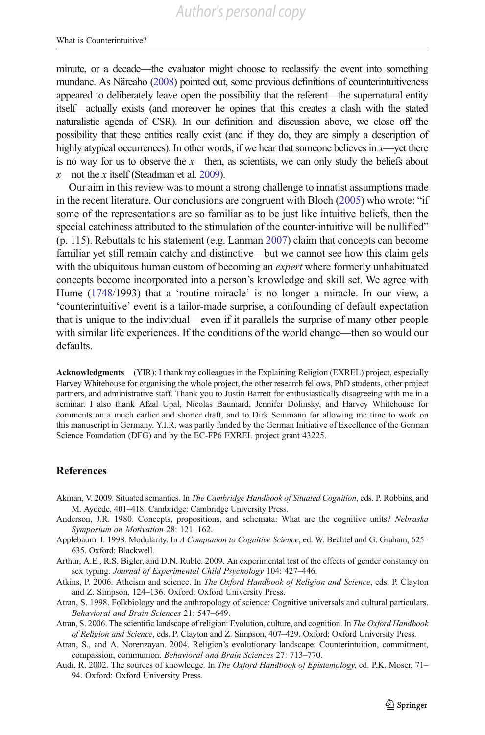<span id="page-28-0"></span>minute, or a decade—the evaluator might choose to reclassify the event into something mundane. As Näreaho [\(2008](#page-32-0)) pointed out, some previous definitions of counterintuitiveness appeared to deliberately leave open the possibility that the referent—the supernatural entity itself—actually exists (and moreover he opines that this creates a clash with the stated naturalistic agenda of CSR). In our definition and discussion above, we close off the possibility that these entities really exist (and if they do, they are simply a description of highly atypical occurrences). In other words, if we hear that someone believes in x—yet there is no way for us to observe the  $x$ —then, as scientists, we can only study the beliefs about  $x$ —not the x itself (Steadman et al. [2009](#page-33-0)).

Our aim in this review was to mount a strong challenge to innatist assumptions made in the recent literature. Our conclusions are congruent with Bloch [\(2005](#page-29-0)) who wrote: "if some of the representations are so familiar as to be just like intuitive beliefs, then the special catchiness attributed to the stimulation of the counter-intuitive will be nullified" (p. 115). Rebuttals to his statement (e.g. Lanman [2007](#page-31-0)) claim that concepts can become familiar yet still remain catchy and distinctive—but we cannot see how this claim gels with the ubiquitous human custom of becoming an *expert* where formerly unhabituated concepts become incorporated into a person's knowledge and skill set. We agree with Hume [\(1748/](#page-31-0)1993) that a 'routine miracle' is no longer a miracle. In our view, a 'counterintuitive' event is a tailor-made surprise, a confounding of default expectation that is unique to the individual—even if it parallels the surprise of many other people with similar life experiences. If the conditions of the world change—then so would our defaults.

Acknowledgments (YIR): I thank my colleagues in the Explaining Religion (EXREL) project, especially Harvey Whitehouse for organising the whole project, the other research fellows, PhD students, other project partners, and administrative staff. Thank you to Justin Barrett for enthusiastically disagreeing with me in a seminar. I also thank Afzal Upal, Nicolas Baumard, Jennifer Dolinsky, and Harvey Whitehouse for comments on a much earlier and shorter draft, and to Dirk Semmann for allowing me time to work on this manuscript in Germany. Y.I.R. was partly funded by the German Initiative of Excellence of the German Science Foundation (DFG) and by the EC-FP6 EXREL project grant 43225.

#### References

- Akman, V. 2009. Situated semantics. In The Cambridge Handbook of Situated Cognition, eds. P. Robbins, and M. Aydede, 401–418. Cambridge: Cambridge University Press.
- Anderson, J.R. 1980. Concepts, propositions, and schemata: What are the cognitive units? Nebraska Symposium on Motivation 28: 121–162.
- Applebaum, I. 1998. Modularity. In A Companion to Cognitive Science, ed. W. Bechtel and G. Graham, 625-635. Oxford: Blackwell.
- Arthur, A.E., R.S. Bigler, and D.N. Ruble. 2009. An experimental test of the effects of gender constancy on sex typing. Journal of Experimental Child Psychology 104: 427–446.
- Atkins, P. 2006. Atheism and science. In The Oxford Handbook of Religion and Science, eds. P. Clayton and Z. Simpson, 124–136. Oxford: Oxford University Press.
- Atran, S. 1998. Folkbiology and the anthropology of science: Cognitive universals and cultural particulars. Behavioral and Brain Sciences 21: 547–649.
- Atran, S. 2006. The scientific landscape of religion: Evolution, culture, and cognition. In The Oxford Handbook of Religion and Science, eds. P. Clayton and Z. Simpson, 407–429. Oxford: Oxford University Press.
- Atran, S., and A. Norenzayan. 2004. Religion's evolutionary landscape: Counterintuition, commitment, compassion, communion. Behavioral and Brain Sciences 27: 713–770.
- Audi, R. 2002. The sources of knowledge. In The Oxford Handbook of Epistemology, ed. P.K. Moser, 71-94. Oxford: Oxford University Press.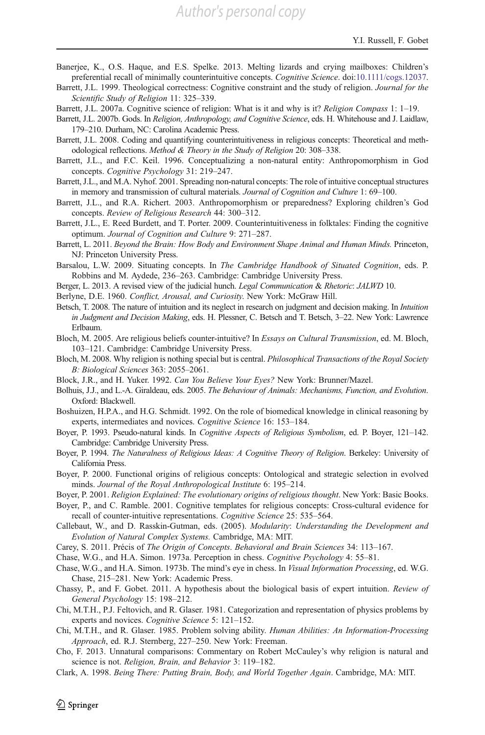- <span id="page-29-0"></span>Banerjee, K., O.S. Haque, and E.S. Spelke. 2013. Melting lizards and crying mailboxes: Children's preferential recall of minimally counterintuitive concepts. Cognitive Science. doi:[10.1111/cogs.12037](http://dx.doi.org/10.1111/cogs.12037).
- Barrett, J.L. 1999. Theological correctness: Cognitive constraint and the study of religion. Journal for the Scientific Study of Religion 11: 325–339.
- Barrett, J.L. 2007a. Cognitive science of religion: What is it and why is it? Religion Compass 1: 1–19.
- Barrett, J.L. 2007b. Gods. In Religion, Anthropology, and Cognitive Science, eds. H. Whitehouse and J. Laidlaw, 179–210. Durham, NC: Carolina Academic Press.
- Barrett, J.L. 2008. Coding and quantifying counterintuitiveness in religious concepts: Theoretical and methodological reflections. Method & Theory in the Study of Religion 20: 308–338.
- Barrett, J.L., and F.C. Keil. 1996. Conceptualizing a non-natural entity: Anthropomorphism in God concepts. Cognitive Psychology 31: 219–247.
- Barrett, J.L., and M.A. Nyhof. 2001. Spreading non-natural concepts: The role of intuitive conceptual structures in memory and transmission of cultural materials. Journal of Cognition and Culture 1: 69–100.
- Barrett, J.L., and R.A. Richert. 2003. Anthropomorphism or preparedness? Exploring children's God concepts. Review of Religious Research 44: 300–312.
- Barrett, J.L., E. Reed Burdett, and T. Porter. 2009. Counterintuitiveness in folktales: Finding the cognitive optimum. Journal of Cognition and Culture 9: 271–287.
- Barrett, L. 2011. Beyond the Brain: How Body and Environment Shape Animal and Human Minds. Princeton, NJ: Princeton University Press.
- Barsalou, L.W. 2009. Situating concepts. In The Cambridge Handbook of Situated Cognition, eds. P. Robbins and M. Aydede, 236–263. Cambridge: Cambridge University Press.
- Berger, L. 2013. A revised view of the judicial hunch. *Legal Communication & Rhetoric: JALWD* 10.
- Berlyne, D.E. 1960. Conflict, Arousal, and Curiosity. New York: McGraw Hill.
- Betsch, T. 2008. The nature of intuition and its neglect in research on judgment and decision making. In Intuition in Judgment and Decision Making, eds. H. Plessner, C. Betsch and T. Betsch, 3–22. New York: Lawrence Erlbaum.
- Bloch, M. 2005. Are religious beliefs counter-intuitive? In Essays on Cultural Transmission, ed. M. Bloch, 103–121. Cambridge: Cambridge University Press.
- Bloch, M. 2008. Why religion is nothing special but is central. Philosophical Transactions of the Royal Society B: Biological Sciences 363: 2055–2061.
- Block, J.R., and H. Yuker. 1992. Can You Believe Your Eyes? New York: Brunner/Mazel.
- Bolhuis, J.J., and L.-A. Giraldeau, eds. 2005. The Behaviour of Animals: Mechanisms, Function, and Evolution. Oxford: Blackwell.
- Boshuizen, H.P.A., and H.G. Schmidt. 1992. On the role of biomedical knowledge in clinical reasoning by experts, intermediates and novices. Cognitive Science 16: 153–184.
- Boyer, P. 1993. Pseudo-natural kinds. In Cognitive Aspects of Religious Symbolism, ed. P. Boyer, 121–142. Cambridge: Cambridge University Press.
- Boyer, P. 1994. The Naturalness of Religious Ideas: A Cognitive Theory of Religion. Berkeley: University of California Press.
- Boyer, P. 2000. Functional origins of religious concepts: Ontological and strategic selection in evolved minds. Journal of the Royal Anthropological Institute 6: 195–214.
- Boyer, P. 2001. Religion Explained: The evolutionary origins of religious thought. New York: Basic Books.
- Boyer, P., and C. Ramble. 2001. Cognitive templates for religious concepts: Cross-cultural evidence for recall of counter-intuitive representations. Cognitive Science 25: 535–564.
- Callebaut, W., and D. Rasskin-Gutman, eds. (2005). Modularity: Understanding the Development and Evolution of Natural Complex Systems. Cambridge, MA: MIT.
- Carey, S. 2011. Précis of The Origin of Concepts. Behavioral and Brain Sciences 34: 113–167.
- Chase, W.G., and H.A. Simon. 1973a. Perception in chess. Cognitive Psychology 4: 55–81.
- Chase, W.G., and H.A. Simon. 1973b. The mind's eye in chess. In Visual Information Processing, ed. W.G. Chase, 215–281. New York: Academic Press.
- Chassy, P., and F. Gobet. 2011. A hypothesis about the biological basis of expert intuition. Review of General Psychology 15: 198–212.
- Chi, M.T.H., P.J. Feltovich, and R. Glaser. 1981. Categorization and representation of physics problems by experts and novices. Cognitive Science 5: 121–152.
- Chi, M.T.H., and R. Glaser. 1985. Problem solving ability. Human Abilities: An Information-Processing Approach, ed. R.J. Sternberg, 227–250. New York: Freeman.
- Cho, F. 2013. Unnatural comparisons: Commentary on Robert McCauley's why religion is natural and science is not. Religion, Brain, and Behavior 3: 119–182.
- Clark, A. 1998. Being There: Putting Brain, Body, and World Together Again. Cambridge, MA: MIT.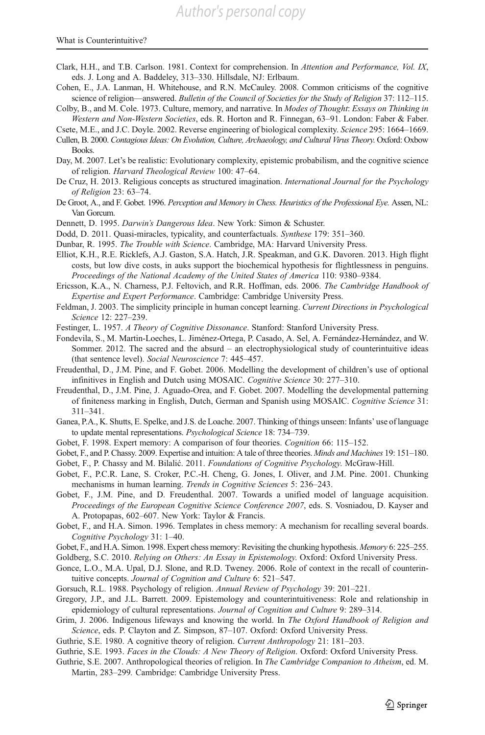*Author's personal copy*

#### <span id="page-30-0"></span>What is Counterintuitive?

- Clark, H.H., and T.B. Carlson. 1981. Context for comprehension. In Attention and Performance, Vol. IX, eds. J. Long and A. Baddeley, 313–330. Hillsdale, NJ: Erlbaum.
- Cohen, E., J.A. Lanman, H. Whitehouse, and R.N. McCauley. 2008. Common criticisms of the cognitive science of religion—answered. Bulletin of the Council of Societies for the Study of Religion 37: 112–115.

Colby, B., and M. Cole. 1973. Culture, memory, and narrative. In Modes of Thought: Essays on Thinking in Western and Non-Western Societies, eds. R. Horton and R. Finnegan, 63–91. London: Faber & Faber.

- Cullen, B. 2000. Contagious Ideas: On Evolution, Culture, Archaeology, and Cultural Virus Theory. Oxford: Oxbow Books.
- Day, M. 2007. Let's be realistic: Evolutionary complexity, epistemic probabilism, and the cognitive science of religion. Harvard Theological Review 100: 47–64.
- De Cruz, H. 2013. Religious concepts as structured imagination. International Journal for the Psychology of Religion 23: 63–74.
- De Groot, A., and F. Gobet. 1996. Perception and Memory in Chess. Heuristics of the Professional Eye. Assen, NL: Van Gorcum.
- Dennett, D. 1995. Darwin's Dangerous Idea. New York: Simon & Schuster.
- Dodd, D. 2011. Quasi-miracles, typicality, and counterfactuals. Synthese 179: 351–360.
- Dunbar, R. 1995. The Trouble with Science. Cambridge, MA: Harvard University Press.

Elliot, K.H., R.E. Ricklefs, A.J. Gaston, S.A. Hatch, J.R. Speakman, and G.K. Davoren. 2013. High flight costs, but low dive costs, in auks support the biochemical hypothesis for flightlessness in penguins. Proceedings of the National Academy of the United States of America 110: 9380–9384.

Ericsson, K.A., N. Charness, P.J. Feltovich, and R.R. Hoffman, eds. 2006. The Cambridge Handbook of Expertise and Expert Performance. Cambridge: Cambridge University Press.

- Feldman, J. 2003. The simplicity principle in human concept learning. Current Directions in Psychological Science 12: 227–239.
- Festinger, L. 1957. A Theory of Cognitive Dissonance. Stanford: Stanford University Press.
- Fondevila, S., M. Martin-Loeches, L. Jiménez-Ortega, P. Casado, A. Sel, A. Fernández-Hernández, and W. Sommer. 2012. The sacred and the absurd – an electrophysiological study of counterintuitive ideas (that sentence level). Social Neuroscience 7: 445–457.
- Freudenthal, D., J.M. Pine, and F. Gobet. 2006. Modelling the development of children's use of optional infinitives in English and Dutch using MOSAIC. Cognitive Science 30: 277–310.
- Freudenthal, D., J.M. Pine, J. Aguado-Orea, and F. Gobet. 2007. Modelling the developmental patterning of finiteness marking in English, Dutch, German and Spanish using MOSAIC. Cognitive Science 31: 311–341.
- Ganea, P.A., K. Shutts, E. Spelke, and J.S. de Loache. 2007. Thinking of things unseen: Infants' use of language to update mental representations. Psychological Science 18: 734–739.
- Gobet, F. 1998. Expert memory: A comparison of four theories. Cognition 66: 115–152.
- Gobet, F., and P. Chassy. 2009. Expertise and intuition: A tale of three theories. Minds and Machines 19: 151–180.
- Gobet, F., P. Chassy and M. Bilalić. 2011. Foundations of Cognitive Psychology. McGraw-Hill.
- Gobet, F., P.C.R. Lane, S. Croker, P.C.-H. Cheng, G. Jones, I. Oliver, and J.M. Pine. 2001. Chunking mechanisms in human learning. Trends in Cognitive Sciences 5: 236–243.
- Gobet, F., J.M. Pine, and D. Freudenthal. 2007. Towards a unified model of language acquisition. Proceedings of the European Cognitive Science Conference 2007, eds. S. Vosniadou, D. Kayser and A. Protopapas, 602–607. New York: Taylor & Francis.

Gobet, F., and H.A. Simon. 1996. Templates in chess memory: A mechanism for recalling several boards. Cognitive Psychology 31: 1–40.

Goldberg, S.C. 2010. Relying on Others: An Essay in Epistemology. Oxford: Oxford University Press.

- Gonce, L.O., M.A. Upal, D.J. Slone, and R.D. Tweney. 2006. Role of context in the recall of counterintuitive concepts. Journal of Cognition and Culture 6: 521-547.
- Gorsuch, R.L. 1988. Psychology of religion. Annual Review of Psychology 39: 201–221.
- Gregory, J.P., and J.L. Barrett. 2009. Epistemology and counterintuitiveness: Role and relationship in epidemiology of cultural representations. Journal of Cognition and Culture 9: 289–314.
- Grim, J. 2006. Indigenous lifeways and knowing the world. In The Oxford Handbook of Religion and Science, eds. P. Clayton and Z. Simpson, 87–107. Oxford: Oxford University Press.
- Guthrie, S.E. 1980. A cognitive theory of religion. Current Anthropology 21: 181–203.

Guthrie, S.E. 1993. Faces in the Clouds: A New Theory of Religion. Oxford: Oxford University Press.

Guthrie, S.E. 2007. Anthropological theories of religion. In The Cambridge Companion to Atheism, ed. M. Martin, 283–299. Cambridge: Cambridge University Press.

Csete, M.E., and J.C. Doyle. 2002. Reverse engineering of biological complexity. Science 295: 1664–1669.

Gobet, F., and H.A. Simon. 1998. Expert chess memory: Revisiting the chunking hypothesis. Memory 6: 225–255.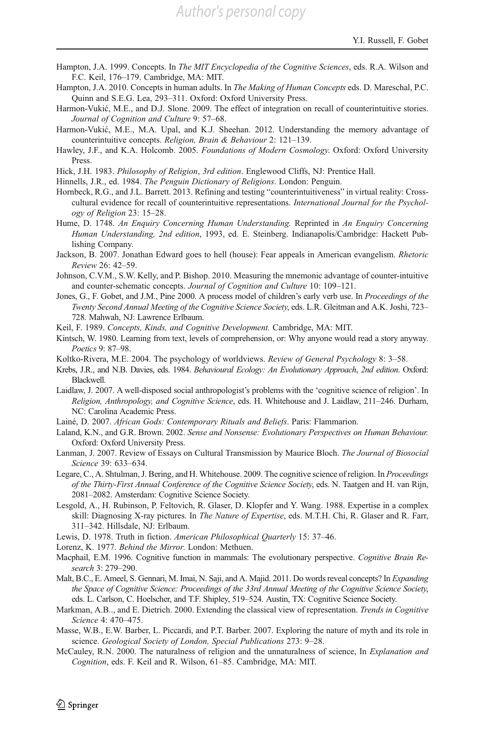- <span id="page-31-0"></span>Hampton, J.A. 1999. Concepts. In *The MIT Encyclopedia of the Cognitive Sciences*, eds. R.A. Wilson and F.C. Keil, 176–179. Cambridge, MA: MIT.
- Hampton, J.A. 2010. Concepts in human adults. In *The Making of Human Concepts* eds. D. Mareschal, P.C. Quinn and S.E.G. Lea, 293–311. Oxford: Oxford University Press.
- Harmon-Vukić, M.E., and D.J. Slone. 2009. The effect of integration on recall of counterintuitive stories. Journal of Cognition and Culture 9: 57–68.
- Harmon-Vukić, M.E., M.A. Upal, and K.J. Sheehan. 2012. Understanding the memory advantage of counterintuitive concepts. Religion, Brain & Behaviour 2: 121–139.
- Hawley, J.F., and K.A. Holcomb. 2005. Foundations of Modern Cosmology. Oxford: Oxford University Press.

Hick, J.H. 1983. Philosophy of Religion, 3rd edition. Englewood Cliffs, NJ: Prentice Hall.

- Hinnells, J.R., ed. 1984. The Penguin Dictionary of Religions. London: Penguin.
- Hornbeck, R.G., and J.L. Barrett. 2013. Refining and testing "counterintuitiveness" in virtual reality: Crosscultural evidence for recall of counterintuitive representations. International Journal for the Psychology of Religion 23: 15–28.
- Hume, D. 1748. An Enquiry Concerning Human Understanding. Reprinted in An Enquiry Concerning Human Understanding, 2nd edition, 1993, ed. E. Steinberg. Indianapolis/Cambridge: Hackett Publishing Company.
- Jackson, B. 2007. Jonathan Edward goes to hell (house): Fear appeals in American evangelism. Rhetoric Review 26: 42–59.
- Johnson, C.V.M., S.W. Kelly, and P. Bishop. 2010. Measuring the mnemonic advantage of counter-intuitive and counter-schematic concepts. Journal of Cognition and Culture 10: 109–121.
- Jones, G., F. Gobet, and J.M., Pine 2000. A process model of children's early verb use. In Proceedings of the Twenty Second Annual Meeting of the Cognitive Science Society, eds. L.R. Gleitman and A.K. Joshi, 723– 728. Mahwah, NJ: Lawrence Erlbaum.
- Keil, F. 1989. Concepts, Kinds, and Cognitive Development. Cambridge, MA: MIT.
- Kintsch, W. 1980. Learning from text, levels of comprehension, or: Why anyone would read a story anyway. Poetics 9: 87–98.
- Koltko-Rivera, M.E. 2004. The psychology of worldviews. Review of General Psychology 8: 3–58.
- Krebs, J.R., and N.B. Davies, eds. 1984. Behavioural Ecology: An Evolutionary Approach, 2nd edition. Oxford: Blackwell.
- Laidlaw, J. 2007. A well-disposed social anthropologist's problems with the 'cognitive science of religion'. In Religion, Anthropology, and Cognitive Science, eds. H. Whitehouse and J. Laidlaw, 211–246. Durham, NC: Carolina Academic Press.
- Lainé, D. 2007. African Gods: Contemporary Rituals and Beliefs. Paris: Flammarion.
- Laland, K.N., and G.R. Brown. 2002. Sense and Nonsense: Evolutionary Perspectives on Human Behaviour. Oxford: Oxford University Press.
- Lanman, J. 2007. Review of Essays on Cultural Transmission by Maurice Bloch. The Journal of Biosocial Science 39: 633–634.
- Legare, C., A. Shtulman, J. Bering, and H. Whitehouse. 2009. The cognitive science of religion. In Proceedings of the Thirty-First Annual Conference of the Cognitive Science Society, eds. N. Taatgen and H. van Rijn, 2081–2082. Amsterdam: Cognitive Science Society.
- Lesgold, A., H. Rubinson, P. Feltovich, R. Glaser, D. Klopfer and Y. Wang. 1988. Expertise in a complex skill: Diagnosing X-ray pictures. In The Nature of Expertise, eds. M.T.H. Chi, R. Glaser and R. Farr, 311–342. Hillsdale, NJ: Erlbaum.
- Lewis, D. 1978. Truth in fiction. American Philosophical Quarterly 15: 37–46.
- Lorenz, K. 1977. Behind the Mirror. London: Methuen.
- Macphail, E.M. 1996. Cognitive function in mammals: The evolutionary perspective. Cognitive Brain Research 3: 279–290.
- Malt, B.C., E. Ameel, S. Gennari, M. Imai, N. Saji, and A. Majid. 2011. Do words reveal concepts? In *Expanding* the Space of Cognitive Science: Proceedings of the 33rd Annual Meeting of the Cognitive Science Society, eds. L. Carlson, C. Hoelscher, and T.F. Shipley, 519–524. Austin, TX: Cognitive Science Society.
- Markman, A.B.., and E. Dietrich. 2000. Extending the classical view of representation. Trends in Cognitive Science 4: 470–475.
- Masse, W.B., E.W. Barber, L. Piccardi, and P.T. Barber. 2007. Exploring the nature of myth and its role in science. Geological Society of London, Special Publications 273: 9–28.
- McCauley, R.N. 2000. The naturalness of religion and the unnaturalness of science, In Explanation and Cognition, eds. F. Keil and R. Wilson, 61–85. Cambridge, MA: MIT.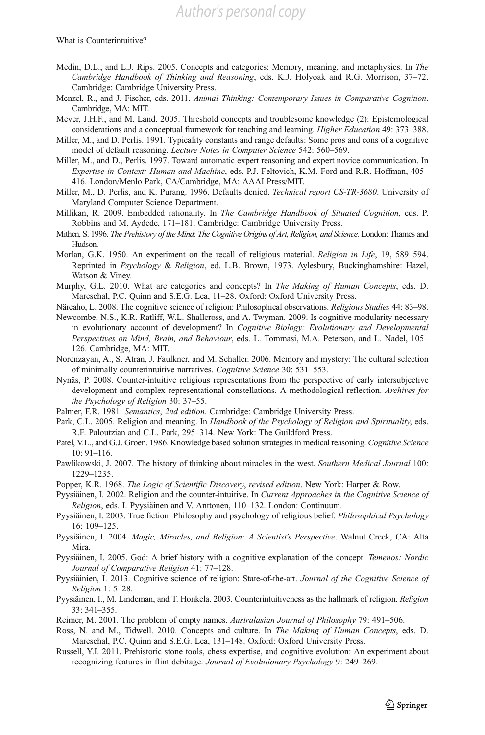- <span id="page-32-0"></span>Medin, D.L., and L.J. Rips. 2005. Concepts and categories: Memory, meaning, and metaphysics. In The Cambridge Handbook of Thinking and Reasoning, eds. K.J. Holyoak and R.G. Morrison, 37–72. Cambridge: Cambridge University Press.
- Menzel, R., and J. Fischer, eds. 2011. Animal Thinking: Contemporary Issues in Comparative Cognition. Cambridge, MA: MIT.
- Meyer, J.H.F., and M. Land. 2005. Threshold concepts and troublesome knowledge (2): Epistemological considerations and a conceptual framework for teaching and learning. Higher Education 49: 373–388.
- Miller, M., and D. Perlis. 1991. Typicality constants and range defaults: Some pros and cons of a cognitive model of default reasoning. Lecture Notes in Computer Science 542: 560–569.
- Miller, M., and D., Perlis. 1997. Toward automatic expert reasoning and expert novice communication. In Expertise in Context: Human and Machine, eds. P.J. Feltovich, K.M. Ford and R.R. Hoffman, 405– 416. London/Menlo Park, CA/Cambridge, MA: AAAI Press/MIT.
- Miller, M., D. Perlis, and K. Purang. 1996. Defaults denied. Technical report CS-TR-3680. University of Maryland Computer Science Department.
- Millikan, R. 2009. Embedded rationality. In The Cambridge Handbook of Situated Cognition, eds. P. Robbins and M. Aydede, 171–181. Cambridge: Cambridge University Press.
- Mithen, S. 1996. The Prehistory of the Mind: The Cognitive Origins of Art, Religion, and Science. London: Thames and Hudson.
- Morlan, G.K. 1950. An experiment on the recall of religious material. Religion in Life, 19, 589–594. Reprinted in Psychology & Religion, ed. L.B. Brown, 1973. Aylesbury, Buckinghamshire: Hazel, Watson & Viney.
- Murphy, G.L. 2010. What are categories and concepts? In The Making of Human Concepts, eds. D. Mareschal, P.C. Quinn and S.E.G. Lea, 11–28. Oxford: Oxford University Press.
- Näreaho, L. 2008. The cognitive science of religion: Philosophical observations. Religious Studies 44: 83-98.
- Newcombe, N.S., K.R. Ratliff, W.L. Shallcross, and A. Twyman. 2009. Is cognitive modularity necessary in evolutionary account of development? In Cognitive Biology: Evolutionary and Developmental Perspectives on Mind, Brain, and Behaviour, eds. L. Tommasi, M.A. Peterson, and L. Nadel, 105– 126. Cambridge, MA: MIT.
- Norenzayan, A., S. Atran, J. Faulkner, and M. Schaller. 2006. Memory and mystery: The cultural selection of minimally counterintuitive narratives. Cognitive Science 30: 531–553.
- Nynäs, P. 2008. Counter-intuitive religious representations from the perspective of early intersubjective development and complex representational constellations. A methodological reflection. Archives for the Psychology of Religion 30: 37–55.
- Palmer, F.R. 1981. Semantics, 2nd edition. Cambridge: Cambridge University Press.
- Park, C.L. 2005. Religion and meaning. In Handbook of the Psychology of Religion and Spirituality, eds. R.F. Paloutzian and C.L. Park, 295–314. New York: The Guildford Press.
- Patel, V.L., and G.J. Groen. 1986. Knowledge based solution strategies in medical reasoning. Cognitive Science 10: 91–116.
- Pawlikowski, J. 2007. The history of thinking about miracles in the west. Southern Medical Journal 100: 1229–1235.
- Popper, K.R. 1968. The Logic of Scientific Discovery, revised edition. New York: Harper & Row.
- Pyysiäinen, I. 2002. Religion and the counter-intuitive. In Current Approaches in the Cognitive Science of Religion, eds. I. Pyysiäinen and V. Anttonen, 110–132. London: Continuum.
- Pyysiäinen, I. 2003. True fiction: Philosophy and psychology of religious belief. Philosophical Psychology 16: 109–125.
- Pyysiäinen, I. 2004. Magic, Miracles, and Religion: A Scientist's Perspective. Walnut Creek, CA: Alta Mira.
- Pyysiäinen, I. 2005. God: A brief history with a cognitive explanation of the concept. Temenos: Nordic Journal of Comparative Religion 41: 77–128.
- Pyysiäinien, I. 2013. Cognitive science of religion: State-of-the-art. Journal of the Cognitive Science of Religion 1: 5–28.
- Pyysiäinen, I., M. Lindeman, and T. Honkela. 2003. Counterintuitiveness as the hallmark of religion. Religion 33: 341–355.
- Reimer, M. 2001. The problem of empty names. Australasian Journal of Philosophy 79: 491–506.
- Ross, N. and M., Tidwell. 2010. Concepts and culture. In *The Making of Human Concepts*, eds. D. Mareschal, P.C. Quinn and S.E.G. Lea, 131–148. Oxford: Oxford University Press.
- Russell, Y.I. 2011. Prehistoric stone tools, chess expertise, and cognitive evolution: An experiment about recognizing features in flint debitage. Journal of Evolutionary Psychology 9: 249–269.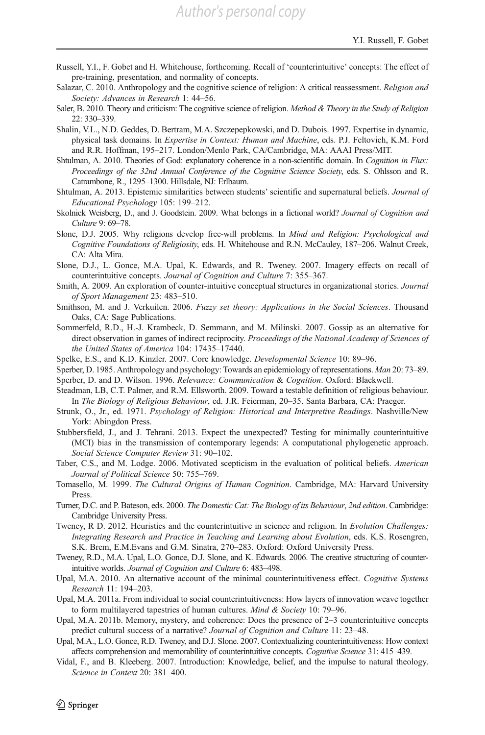- <span id="page-33-0"></span>Russell, Y.I., F. Gobet and H. Whitehouse, forthcoming. Recall of 'counterintuitive' concepts: The effect of pre-training, presentation, and normality of concepts.
- Salazar, C. 2010. Anthropology and the cognitive science of religion: A critical reassessment. Religion and Society: Advances in Research 1: 44–56.
- Saler, B. 2010. Theory and criticism: The cognitive science of religion. Method & Theory in the Study of Religion 22: 330–339.
- Shalin, V.L., N.D. Geddes, D. Bertram, M.A. Szczepepkowski, and D. Dubois. 1997. Expertise in dynamic, physical task domains. In Expertise in Context: Human and Machine, eds. P.J. Feltovich, K.M. Ford and R.R. Hoffman, 195–217. London/Menlo Park, CA/Cambridge, MA: AAAI Press/MIT.
- Shtulman, A. 2010. Theories of God: explanatory coherence in a non-scientific domain. In Cognition in Flux: Proceedings of the 32nd Annual Conference of the Cognitive Science Society, eds. S. Ohlsson and R. Catrambone, R., 1295–1300. Hillsdale, NJ: Erlbaum.
- Shtulman, A. 2013. Epistemic similarities between students' scientific and supernatural beliefs. Journal of Educational Psychology 105: 199–212.
- Skolnick Weisberg, D., and J. Goodstein. 2009. What belongs in a fictional world? Journal of Cognition and Culture 9: 69–78.
- Slone, D.J. 2005. Why religions develop free-will problems. In Mind and Religion: Psychological and Cognitive Foundations of Religiosity, eds. H. Whitehouse and R.N. McCauley, 187–206. Walnut Creek, CA: Alta Mira.
- Slone, D.J., L. Gonce, M.A. Upal, K. Edwards, and R. Tweney. 2007. Imagery effects on recall of counterintuitive concepts. Journal of Cognition and Culture 7: 355–367.
- Smith, A. 2009. An exploration of counter-intuitive conceptual structures in organizational stories. Journal of Sport Management 23: 483–510.
- Smithson, M. and J. Verkuilen. 2006. Fuzzy set theory: Applications in the Social Sciences. Thousand Oaks, CA: Sage Publications.
- Sommerfeld, R.D., H.-J. Krambeck, D. Semmann, and M. Milinski. 2007. Gossip as an alternative for direct observation in games of indirect reciprocity. Proceedings of the National Academy of Sciences of the United States of America 104: 17435–17440.
- Spelke, E.S., and K.D. Kinzler. 2007. Core knowledge. Developmental Science 10: 89–96.
- Sperber, D. 1985. Anthropology and psychology: Towards an epidemiology of representations. Man 20: 73–89.
- Sperber, D. and D. Wilson. 1996. Relevance: Communication & Cognition. Oxford: Blackwell.
- Steadman, LB, C.T. Palmer, and R.M. Ellsworth. 2009. Toward a testable definition of religious behaviour. In The Biology of Religious Behaviour, ed. J.R. Feierman, 20–35. Santa Barbara, CA: Praeger.
- Strunk, O., Jr., ed. 1971. Psychology of Religion: Historical and Interpretive Readings. Nashville/New York: Abingdon Press.
- Stubbersfield, J., and J. Tehrani. 2013. Expect the unexpected? Testing for minimally counterintuitive (MCI) bias in the transmission of contemporary legends: A computational phylogenetic approach. Social Science Computer Review 31: 90–102.
- Taber, C.S., and M. Lodge. 2006. Motivated scepticism in the evaluation of political beliefs. American Journal of Political Science 50: 755–769.
- Tomasello, M. 1999. The Cultural Origins of Human Cognition. Cambridge, MA: Harvard University Press.
- Turner, D.C. and P. Bateson, eds. 2000. The Domestic Cat: The Biology of its Behaviour, 2nd edition. Cambridge: Cambridge University Press.
- Tweney, R D. 2012. Heuristics and the counterintuitive in science and religion. In Evolution Challenges: Integrating Research and Practice in Teaching and Learning about Evolution, eds. K.S. Rosengren, S.K. Brem, E.M.Evans and G.M. Sinatra, 270–283. Oxford: Oxford University Press.
- Tweney, R.D., M.A. Upal, L.O. Gonce, D.J. Slone, and K. Edwards. 2006. The creative structuring of counterintuitive worlds. Journal of Cognition and Culture 6: 483–498.
- Upal, M.A. 2010. An alternative account of the minimal counterintuitiveness effect. Cognitive Systems Research 11: 194–203.
- Upal, M.A. 2011a. From individual to social counterintuitiveness: How layers of innovation weave together to form multilayered tapestries of human cultures. Mind & Society 10: 79–96.
- Upal, M.A. 2011b. Memory, mystery, and coherence: Does the presence of 2–3 counterintuitive concepts predict cultural success of a narrative? Journal of Cognition and Culture 11: 23–48.
- Upal, M.A., L.O. Gonce, R.D. Tweney, and D.J. Slone. 2007. Contextualizing counterintuitiveness: How context affects comprehension and memorability of counterintuitive concepts. Cognitive Science 31: 415–439.
- Vidal, F., and B. Kleeberg. 2007. Introduction: Knowledge, belief, and the impulse to natural theology. Science in Context 20: 381–400.